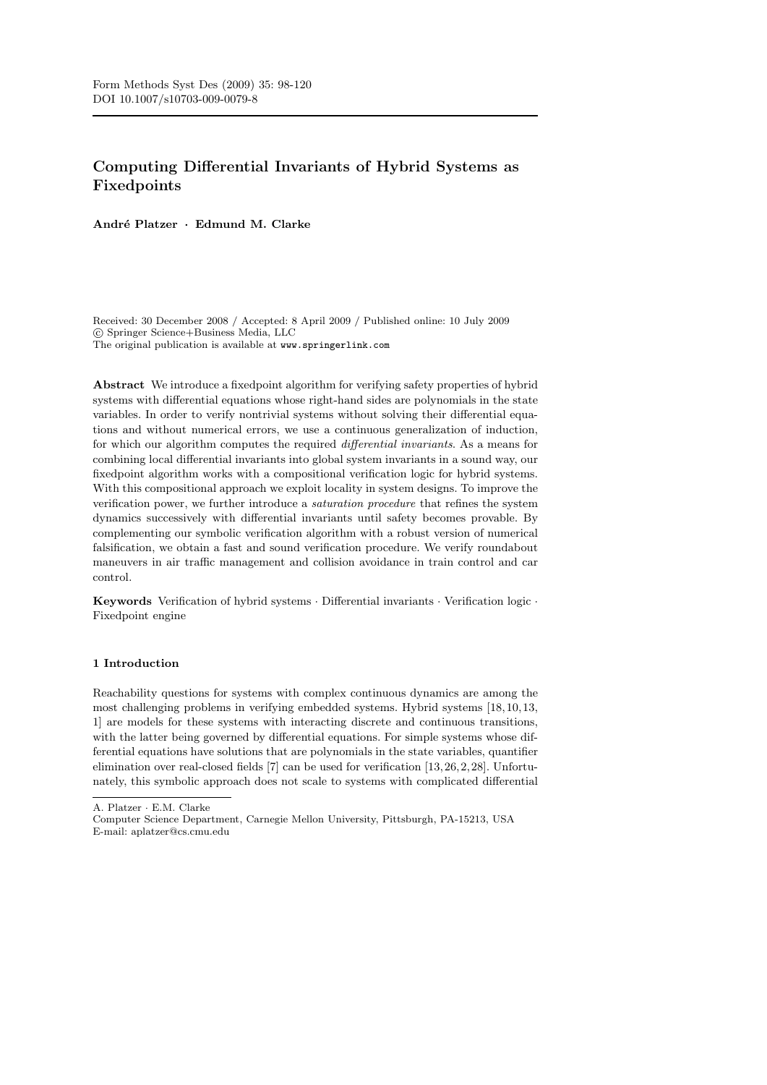# Computing Differential Invariants of Hybrid Systems as Fixedpoints

André Platzer · Edmund M. Clarke

Received: 30 December 2008 / Accepted: 8 April 2009 / Published online: 10 July 2009 c Springer Science+Business Media, LLC The original publication is available at www.springerlink.com

Abstract We introduce a fixedpoint algorithm for verifying safety properties of hybrid systems with differential equations whose right-hand sides are polynomials in the state variables. In order to verify nontrivial systems without solving their differential equations and without numerical errors, we use a continuous generalization of induction, for which our algorithm computes the required differential invariants. As a means for combining local differential invariants into global system invariants in a sound way, our fixedpoint algorithm works with a compositional verification logic for hybrid systems. With this compositional approach we exploit locality in system designs. To improve the verification power, we further introduce a saturation procedure that refines the system dynamics successively with differential invariants until safety becomes provable. By complementing our symbolic verification algorithm with a robust version of numerical falsification, we obtain a fast and sound verification procedure. We verify roundabout maneuvers in air traffic management and collision avoidance in train control and car control.

Keywords Verification of hybrid systems · Differential invariants · Verification logic · Fixedpoint engine

# 1 Introduction

Reachability questions for systems with complex continuous dynamics are among the most challenging problems in verifying embedded systems. Hybrid systems [18, 10,13, 1] are models for these systems with interacting discrete and continuous transitions, with the latter being governed by differential equations. For simple systems whose differential equations have solutions that are polynomials in the state variables, quantifier elimination over real-closed fields [7] can be used for verification [13, 26, 2,28]. Unfortunately, this symbolic approach does not scale to systems with complicated differential

A. Platzer · E.M. Clarke

Computer Science Department, Carnegie Mellon University, Pittsburgh, PA-15213, USA E-mail: aplatzer@cs.cmu.edu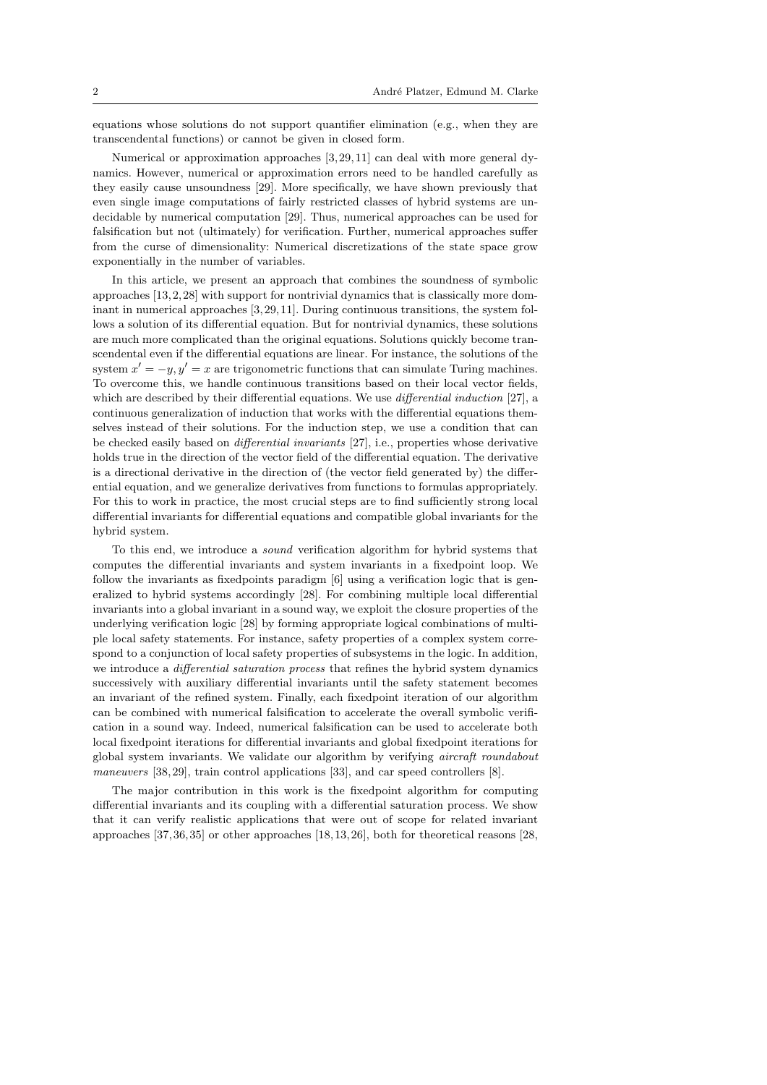equations whose solutions do not support quantifier elimination (e.g., when they are transcendental functions) or cannot be given in closed form.

Numerical or approximation approaches [3, 29, 11] can deal with more general dynamics. However, numerical or approximation errors need to be handled carefully as they easily cause unsoundness [29]. More specifically, we have shown previously that even single image computations of fairly restricted classes of hybrid systems are undecidable by numerical computation [29]. Thus, numerical approaches can be used for falsification but not (ultimately) for verification. Further, numerical approaches suffer from the curse of dimensionality: Numerical discretizations of the state space grow exponentially in the number of variables.

In this article, we present an approach that combines the soundness of symbolic approaches [13,2, 28] with support for nontrivial dynamics that is classically more dominant in numerical approaches [3,29, 11]. During continuous transitions, the system follows a solution of its differential equation. But for nontrivial dynamics, these solutions are much more complicated than the original equations. Solutions quickly become transcendental even if the differential equations are linear. For instance, the solutions of the system  $x' = -y, y' = x$  are trigonometric functions that can simulate Turing machines. To overcome this, we handle continuous transitions based on their local vector fields, which are described by their differential equations. We use *differential induction* [27], a continuous generalization of induction that works with the differential equations themselves instead of their solutions. For the induction step, we use a condition that can be checked easily based on differential invariants [27], i.e., properties whose derivative holds true in the direction of the vector field of the differential equation. The derivative is a directional derivative in the direction of (the vector field generated by) the differential equation, and we generalize derivatives from functions to formulas appropriately. For this to work in practice, the most crucial steps are to find sufficiently strong local differential invariants for differential equations and compatible global invariants for the hybrid system.

To this end, we introduce a sound verification algorithm for hybrid systems that computes the differential invariants and system invariants in a fixedpoint loop. We follow the invariants as fixedpoints paradigm [6] using a verification logic that is generalized to hybrid systems accordingly [28]. For combining multiple local differential invariants into a global invariant in a sound way, we exploit the closure properties of the underlying verification logic [28] by forming appropriate logical combinations of multiple local safety statements. For instance, safety properties of a complex system correspond to a conjunction of local safety properties of subsystems in the logic. In addition, we introduce a *differential saturation process* that refines the hybrid system dynamics successively with auxiliary differential invariants until the safety statement becomes an invariant of the refined system. Finally, each fixedpoint iteration of our algorithm can be combined with numerical falsification to accelerate the overall symbolic verification in a sound way. Indeed, numerical falsification can be used to accelerate both local fixedpoint iterations for differential invariants and global fixedpoint iterations for global system invariants. We validate our algorithm by verifying aircraft roundabout maneuvers [38, 29], train control applications [33], and car speed controllers [8].

The major contribution in this work is the fixedpoint algorithm for computing differential invariants and its coupling with a differential saturation process. We show that it can verify realistic applications that were out of scope for related invariant approaches [37, 36, 35] or other approaches [18, 13, 26], both for theoretical reasons [28,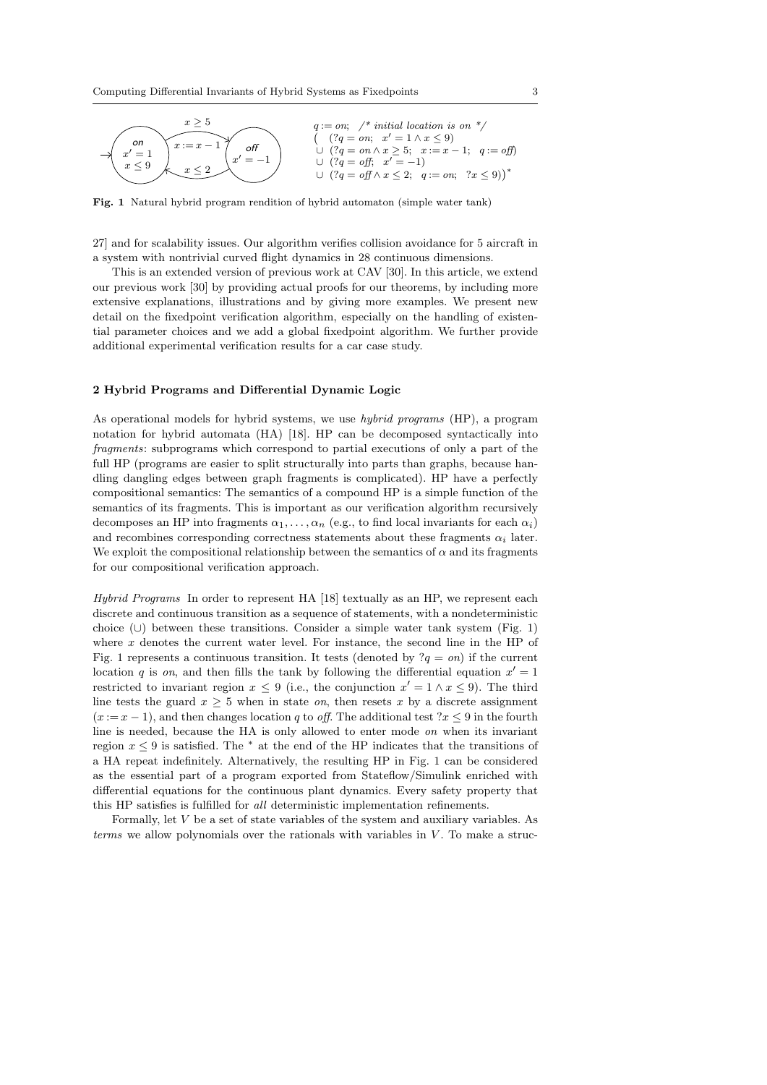

Fig. 1 Natural hybrid program rendition of hybrid automaton (simple water tank)

27] and for scalability issues. Our algorithm verifies collision avoidance for 5 aircraft in a system with nontrivial curved flight dynamics in 28 continuous dimensions.

This is an extended version of previous work at CAV [30]. In this article, we extend our previous work [30] by providing actual proofs for our theorems, by including more extensive explanations, illustrations and by giving more examples. We present new detail on the fixedpoint verification algorithm, especially on the handling of existential parameter choices and we add a global fixedpoint algorithm. We further provide additional experimental verification results for a car case study.

# 2 Hybrid Programs and Differential Dynamic Logic

As operational models for hybrid systems, we use hybrid programs (HP), a program notation for hybrid automata (HA) [18]. HP can be decomposed syntactically into fragments: subprograms which correspond to partial executions of only a part of the full HP (programs are easier to split structurally into parts than graphs, because handling dangling edges between graph fragments is complicated). HP have a perfectly compositional semantics: The semantics of a compound HP is a simple function of the semantics of its fragments. This is important as our verification algorithm recursively decomposes an HP into fragments  $\alpha_1, \ldots, \alpha_n$  (e.g., to find local invariants for each  $\alpha_i$ ) and recombines corresponding correctness statements about these fragments  $\alpha_i$  later. We exploit the compositional relationship between the semantics of  $\alpha$  and its fragments for our compositional verification approach.

Hybrid Programs In order to represent HA [18] textually as an HP, we represent each discrete and continuous transition as a sequence of statements, with a nondeterministic choice  $(\cup)$  between these transitions. Consider a simple water tank system (Fig. 1) where  $x$  denotes the current water level. For instance, the second line in the HP of Fig. 1 represents a continuous transition. It tests (denoted by  $?q = on$ ) if the current location q is on, and then fills the tank by following the differential equation  $x' = 1$ restricted to invariant region  $x \leq 9$  (i.e., the conjunction  $x' = 1 \wedge x \leq 9$ ). The third line tests the guard  $x \geq 5$  when in state *on*, then resets x by a discrete assignment  $(x := x - 1)$ , and then changes location q to off. The additional test  $x \leq 9$  in the fourth line is needed, because the HA is only allowed to enter mode on when its invariant region  $x \leq 9$  is satisfied. The <sup>\*</sup> at the end of the HP indicates that the transitions of a HA repeat indefinitely. Alternatively, the resulting HP in Fig. 1 can be considered as the essential part of a program exported from Stateflow/Simulink enriched with differential equations for the continuous plant dynamics. Every safety property that this HP satisfies is fulfilled for all deterministic implementation refinements.

Formally, let V be a set of state variables of the system and auxiliary variables. As terms we allow polynomials over the rationals with variables in  $V$ . To make a struc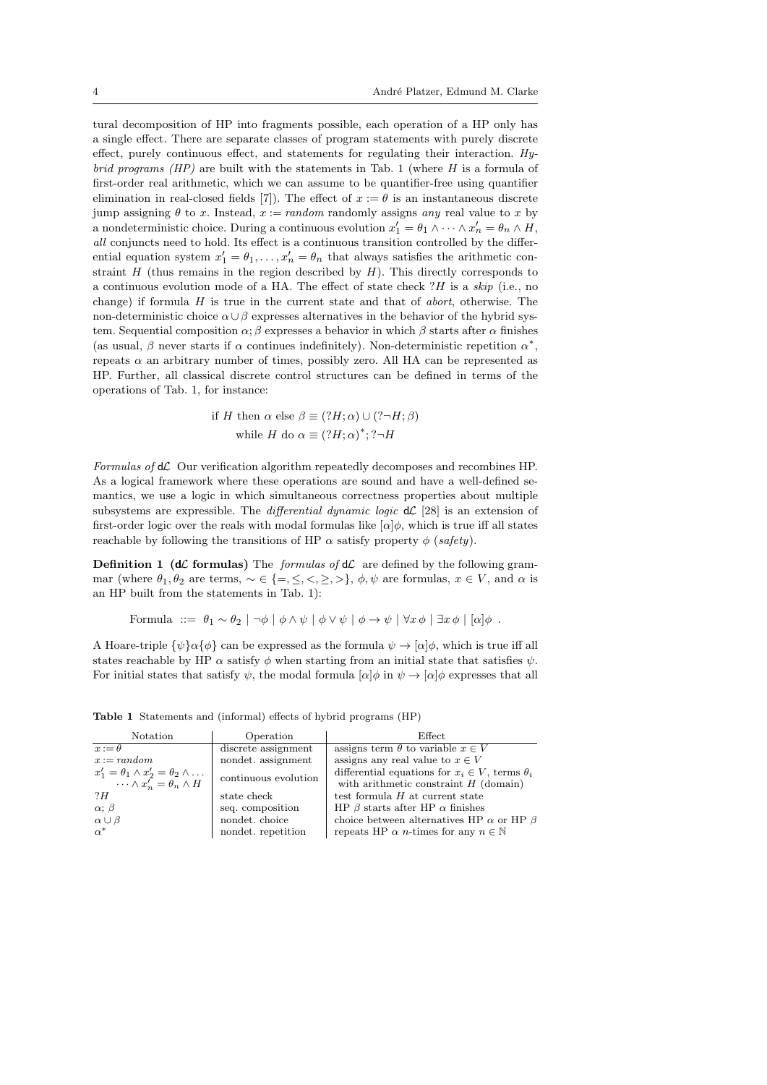tural decomposition of HP into fragments possible, each operation of a HP only has a single effect. There are separate classes of program statements with purely discrete effect, purely continuous effect, and statements for regulating their interaction. Hybrid programs  $(HP)$  are built with the statements in Tab. 1 (where H is a formula of first-order real arithmetic, which we can assume to be quantifier-free using quantifier elimination in real-closed fields [7]). The effect of  $x := \theta$  is an instantaneous discrete jump assigning  $\theta$  to x. Instead,  $x := \text{random randomly assigns any real value to } x$  by a nondeterministic choice. During a continuous evolution  $x'_1 = \theta_1 \wedge \cdots \wedge x'_n = \theta_n \wedge H$ ,  $\emph{all conjuncts need to hold.}$  Its effect is a continuous transition controlled by the differential equation system  $x'_1 = \theta_1, \ldots, x'_n = \theta_n$  that always satisfies the arithmetic constraint  $H$  (thus remains in the region described by  $H$ ). This directly corresponds to a continuous evolution mode of a HA. The effect of state check  $H$  is a skip (i.e., no change) if formula  $H$  is true in the current state and that of *abort*, otherwise. The non-deterministic choice  $\alpha \cup \beta$  expresses alternatives in the behavior of the hybrid system. Sequential composition  $\alpha$ ;  $\beta$  expresses a behavior in which  $\beta$  starts after  $\alpha$  finishes (as usual,  $\beta$  never starts if  $\alpha$  continues indefinitely). Non-deterministic repetition  $\alpha^*$ , repeats  $\alpha$  an arbitrary number of times, possibly zero. All HA can be represented as HP. Further, all classical discrete control structures can be defined in terms of the operations of Tab. 1, for instance:

if *H* then 
$$
\alpha
$$
 else  $\beta \equiv (?H; \alpha) \cup (?¬H; \beta)$   
while *H* do  $\alpha \equiv (?H; \alpha)^{*}; ?¬H$ 

Formulas of  $d\mathcal{L}$  Our verification algorithm repeatedly decomposes and recombines HP. As a logical framework where these operations are sound and have a well-defined semantics, we use a logic in which simultaneous correctness properties about multiple subsystems are expressible. The *differential dynamic logic*  $d\mathcal{L}$  [28] is an extension of first-order logic over the reals with modal formulas like  $[\alpha]\phi$ , which is true iff all states reachable by following the transitions of HP  $\alpha$  satisfy property  $\phi$  (safety).

**Definition 1 (dC formulas)** The *formulas of*  $dC$  are defined by the following grammar (where  $\theta_1, \theta_2$  are terms,  $\sim \in \{ =, \leq, \lt, \geq, \gt\}, \phi, \psi$  are formulas,  $x \in V$ , and  $\alpha$  is an HP built from the statements in Tab. 1):

Formula ::=  $\theta_1 \sim \theta_2 \mid \neg \phi \mid \phi \wedge \psi \mid \phi \vee \psi \mid \phi \rightarrow \psi \mid \forall x \phi \mid \exists x \phi \mid [\alpha] \phi$ .

A Hoare-triple  $\{\psi\} \alpha \{\phi\}$  can be expressed as the formula  $\psi \to [\alpha] \phi$ , which is true iff all states reachable by HP  $\alpha$  satisfy  $\phi$  when starting from an initial state that satisfies  $\psi$ . For initial states that satisfy  $\psi$ , the modal formula  $[\alpha]\phi$  in  $\psi \to [\alpha]\phi$  expresses that all

Table 1 Statements and (informal) effects of hybrid programs (HP)

| Notation<br>Operation                                                                             |                                                                  | Effect                                                                                               |  |  |
|---------------------------------------------------------------------------------------------------|------------------------------------------------------------------|------------------------------------------------------------------------------------------------------|--|--|
| $x := \theta$                                                                                     | discrete assignment                                              | assigns term $\theta$ to variable $x \in V$                                                          |  |  |
| $x := random$                                                                                     | nondet. assignment                                               | assigns any real value to $x \in V$                                                                  |  |  |
| $x'_1 = \theta_1 \wedge x'_2 = \theta_2 \wedge \dots$<br>$\cdots \wedge x'_n = \theta_n \wedge H$ | continuous evolution                                             | differential equations for $x_i \in V$ , terms $\theta_i$<br>with arithmetic constraint $H$ (domain) |  |  |
| ?H                                                                                                | state check                                                      | test formula $H$ at current state                                                                    |  |  |
| $\alpha$ ; $\beta$                                                                                | HP $\beta$ starts after HP $\alpha$ finishes<br>seq. composition |                                                                                                      |  |  |
| $\alpha \cup \beta$                                                                               | nondet. choice                                                   | choice between alternatives HP $\alpha$ or HP $\beta$                                                |  |  |
| $\alpha^*$                                                                                        | nondet. repetition                                               | repeats HP $\alpha$ <i>n</i> -times for any $n \in \mathbb{N}$                                       |  |  |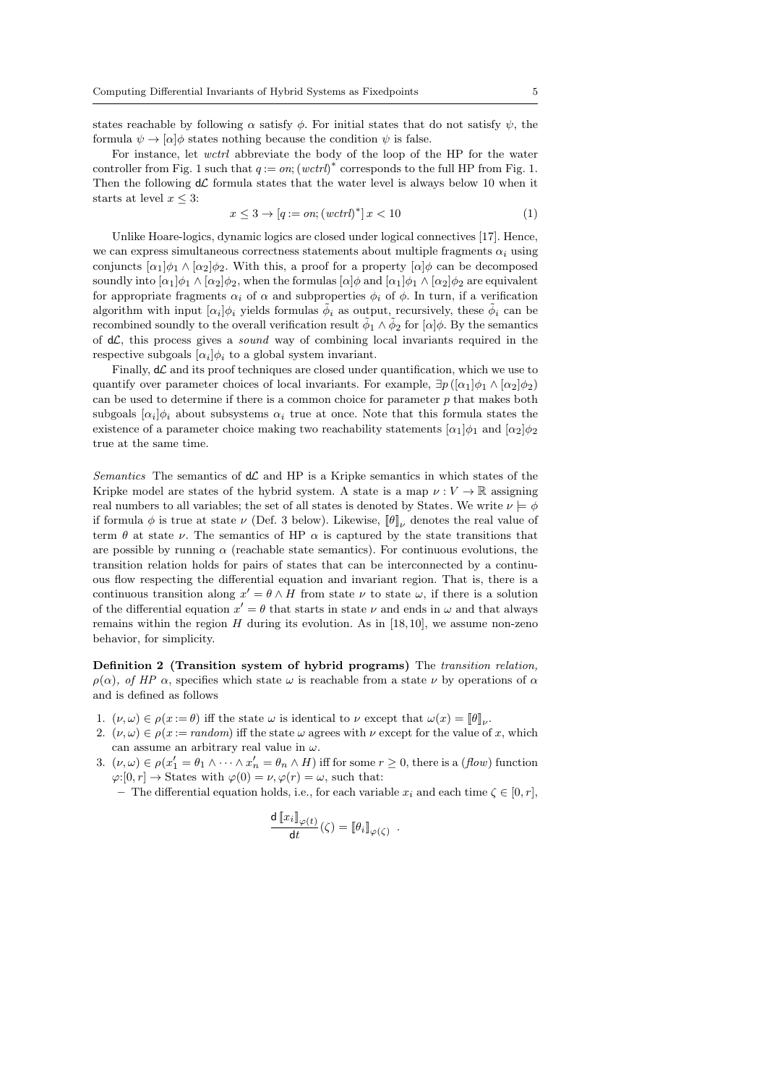states reachable by following  $\alpha$  satisfy  $\phi$ . For initial states that do not satisfy  $\psi$ , the formula  $\psi \to [\alpha] \phi$  states nothing because the condition  $\psi$  is false.

For instance, let *wctrl* abbreviate the body of the loop of the HP for the water controller from Fig. 1 such that  $q := on; (wctrl)^*$  corresponds to the full HP from Fig. 1. Then the following  $d\mathcal{L}$  formula states that the water level is always below 10 when it starts at level  $x \leq 3$ :

$$
x \le 3 \to [q := on; (wctrl)^*] x < 10 \tag{1}
$$

Unlike Hoare-logics, dynamic logics are closed under logical connectives [17]. Hence, we can express simultaneous correctness statements about multiple fragments  $\alpha_i$  using conjuncts  $\alpha_1|\phi_1 \wedge \alpha_2|\phi_2$ . With this, a proof for a property  $\alpha|\phi$  can be decomposed soundly into  $[\alpha_1]\phi_1 \wedge [\alpha_2]\phi_2$ , when the formulas  $[\alpha]\phi$  and  $[\alpha_1]\phi_1 \wedge [\alpha_2]\phi_2$  are equivalent for appropriate fragments  $\alpha_i$  of  $\alpha$  and subproperties  $\phi_i$  of  $\phi$ . In turn, if a verification algorithm with input  $[\alpha_i]\phi_i$  yields formulas  $\tilde{\phi}_i$  as output, recursively, these  $\tilde{\phi}_i$  can be recombined soundly to the overall verification result  $\tilde{\phi}_1 \wedge \tilde{\phi}_2$  for  $[\alpha]\phi$ . By the semantics of  $d\mathcal{L}$ , this process gives a *sound* way of combining local invariants required in the respective subgoals  $[\alpha_i] \phi_i$  to a global system invariant.

Finally,  $d\mathcal{L}$  and its proof techniques are closed under quantification, which we use to quantify over parameter choices of local invariants. For example,  $\exists p \left( \lceil \alpha_1 \rceil \phi_1 \wedge \lceil \alpha_2 \rceil \phi_2 \right)$ can be used to determine if there is a common choice for parameter  $p$  that makes both subgoals  $[\alpha_i]\phi_i$  about subsystems  $\alpha_i$  true at once. Note that this formula states the existence of a parameter choice making two reachability statements  $[\alpha_1]\phi_1$  and  $[\alpha_2]\phi_2$ true at the same time.

Semantics The semantics of  $d\mathcal{L}$  and HP is a Kripke semantics in which states of the Kripke model are states of the hybrid system. A state is a map  $\nu: V \to \mathbb{R}$  assigning real numbers to all variables; the set of all states is denoted by States. We write  $\nu \models \phi$ if formula  $\phi$  is true at state  $\nu$  (Def. 3 below). Likewise,  $[\![\theta]\!]_{\nu}$  denotes the real value of term  $\theta$  at state  $\nu$ . The semantics of HP  $\alpha$  is captured by the state transitions that are possible by running  $\alpha$  (reachable state semantics). For continuous evolutions, the transition relation holds for pairs of states that can be interconnected by a continuous flow respecting the differential equation and invariant region. That is, there is a continuous transition along  $x' = \theta \wedge H$  from state  $\nu$  to state  $\omega$ , if there is a solution of the differential equation  $x' = \theta$  that starts in state  $\nu$  and ends in  $\omega$  and that always remains within the region  $H$  during its evolution. As in [18,10], we assume non-zeno behavior, for simplicity.

Definition 2 (Transition system of hybrid programs) The transition relation,  $\rho(\alpha)$ , of HP  $\alpha$ , specifies which state  $\omega$  is reachable from a state  $\nu$  by operations of  $\alpha$ and is defined as follows

- 1.  $(\nu, \omega) \in \rho(x := \theta)$  iff the state  $\omega$  is identical to  $\nu$  except that  $\omega(x) = [\![\theta]\!]_{\nu}$ .
- 2.  $(\nu, \omega) \in \rho(x) := \text{random}$  iff the state  $\omega$  agrees with  $\nu$  except for the value of x, which can assume an arbitrary real value in  $\omega$ .
- 3.  $(\nu, \omega) \in \rho(x_1' = \theta_1 \wedge \cdots \wedge x_n' = \theta_n \wedge H)$  iff for some  $r \geq 0$ , there is a  $(f \circ w)$  function  $\varphi:[0, r] \to$  States with  $\varphi(0) = \nu, \varphi(r) = \omega$ , such that:
	- The differential equation holds, i.e., for each variable  $x_i$  and each time  $\zeta \in [0, r]$ ,

$$
\frac{\mathrm{d} \left[ x_i \right]_{\varphi(t)}}{\mathrm{d} t}(\zeta) = \left[ \theta_i \right]_{\varphi(\zeta)}
$$

.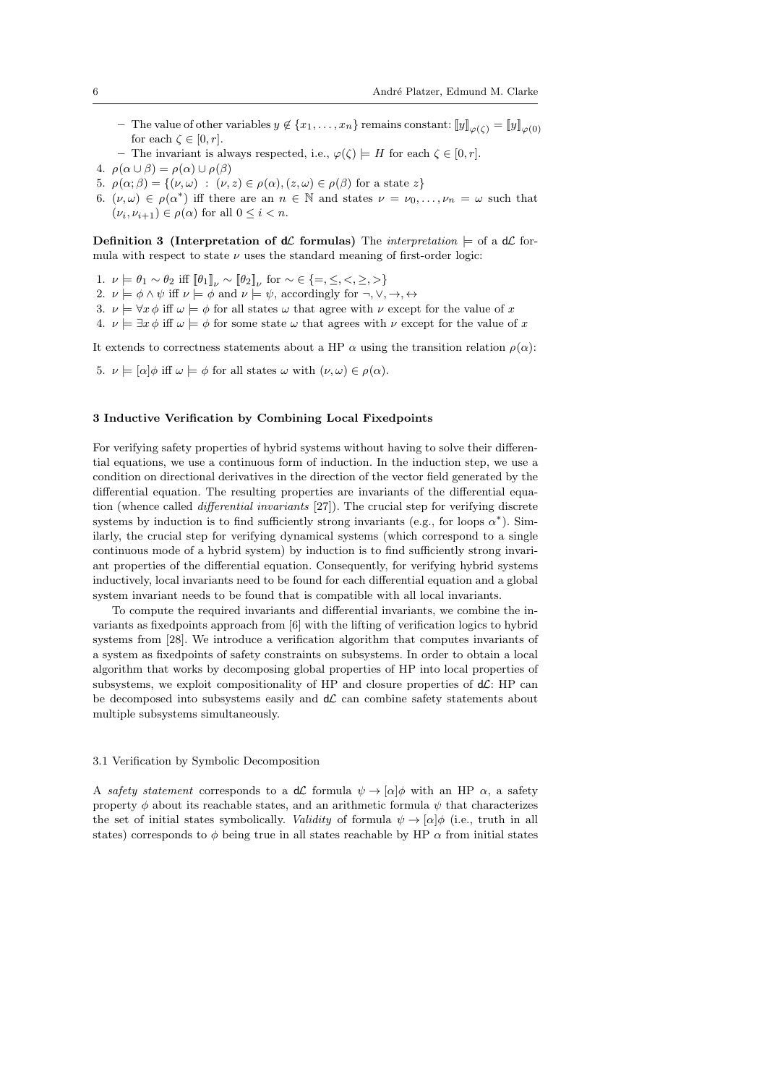– The value of other variables  $y \notin \{x_1, \ldots, x_n\}$  remains constant:  $\llbracket y \rrbracket_{\varphi(\zeta)} = \llbracket y \rrbracket_{\varphi(0)}$ for each  $\zeta \in [0, r]$ .

– The invariant is always respected, i.e.,  $\varphi(\zeta) \models H$  for each  $\zeta \in [0, r]$ .

4.  $\rho(\alpha \cup \beta) = \rho(\alpha) \cup \rho(\beta)$ 

5.  $\rho(\alpha;\beta) = \{(\nu,\omega) : (\nu,z) \in \rho(\alpha), (z,\omega) \in \rho(\beta) \text{ for a state } z\}$ 

6.  $(\nu, \omega) \in \rho(\alpha^*)$  iff there are an  $n \in \mathbb{N}$  and states  $\nu = \nu_0, \ldots, \nu_n = \omega$  such that  $(\nu_i, \nu_{i+1}) \in \rho(\alpha)$  for all  $0 \leq i < n$ .

**Definition 3** (Interpretation of  $d\mathcal{L}$  formulas) The interpretation  $\models$  of a  $d\mathcal{L}$  formula with respect to state  $\nu$  uses the standard meaning of first-order logic:

1.  $\nu \models \theta_1 \sim \theta_2$  iff  $[\![\theta_1]\!]_{\nu} \sim [\![\theta_2]\!]_{\nu}$  for  $\sim \in \{=,\leq,<,\geq,>\}$ 

2.  $\nu \models \phi \land \psi$  iff  $\nu \models \phi$  and  $\nu \models \psi$ , accordingly for  $\neg, \vee, \rightarrow, \leftrightarrow$ 

3.  $\nu \models \forall x \phi$  iff  $\omega \models \phi$  for all states  $\omega$  that agree with  $\nu$  except for the value of x

4.  $\nu \models \exists x \phi$  iff  $\omega \models \phi$  for some state  $\omega$  that agrees with  $\nu$  except for the value of x

It extends to correctness statements about a HP  $\alpha$  using the transition relation  $\rho(\alpha)$ :

5.  $\nu \models [\alpha] \phi$  iff  $\omega \models \phi$  for all states  $\omega$  with  $(\nu, \omega) \in \rho(\alpha)$ .

## 3 Inductive Verification by Combining Local Fixedpoints

For verifying safety properties of hybrid systems without having to solve their differential equations, we use a continuous form of induction. In the induction step, we use a condition on directional derivatives in the direction of the vector field generated by the differential equation. The resulting properties are invariants of the differential equation (whence called differential invariants [27]). The crucial step for verifying discrete systems by induction is to find sufficiently strong invariants (e.g., for loops  $\alpha^*$ ). Similarly, the crucial step for verifying dynamical systems (which correspond to a single continuous mode of a hybrid system) by induction is to find sufficiently strong invariant properties of the differential equation. Consequently, for verifying hybrid systems inductively, local invariants need to be found for each differential equation and a global system invariant needs to be found that is compatible with all local invariants.

To compute the required invariants and differential invariants, we combine the invariants as fixedpoints approach from [6] with the lifting of verification logics to hybrid systems from [28]. We introduce a verification algorithm that computes invariants of a system as fixedpoints of safety constraints on subsystems. In order to obtain a local algorithm that works by decomposing global properties of HP into local properties of subsystems, we exploit compositionality of HP and closure properties of  $d\mathcal{L}$ : HP can be decomposed into subsystems easily and  $d\mathcal{L}$  can combine safety statements about multiple subsystems simultaneously.

#### 3.1 Verification by Symbolic Decomposition

A safety statement corresponds to a  $d\mathcal{L}$  formula  $\psi \to [\alpha]\phi$  with an HP  $\alpha$ , a safety property  $\phi$  about its reachable states, and an arithmetic formula  $\psi$  that characterizes the set of initial states symbolically. Validity of formula  $\psi \to |\alpha| \phi$  (i.e., truth in all states) corresponds to  $\phi$  being true in all states reachable by HP  $\alpha$  from initial states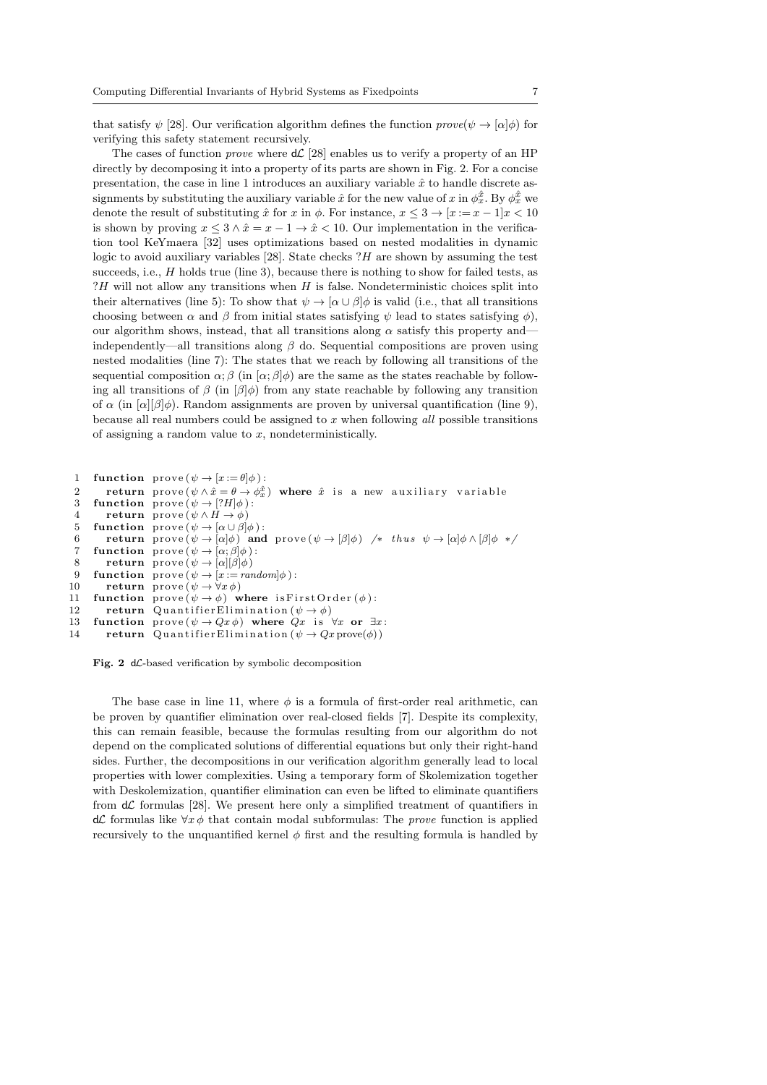that satisfy  $\psi$  [28]. Our verification algorithm defines the function  $prove(\psi \to \alpha | \phi)$  for verifying this safety statement recursively.

The cases of function *prove* where  $d\mathcal{L}$  [28] enables us to verify a property of an HP directly by decomposing it into a property of its parts are shown in Fig. 2. For a concise presentation, the case in line 1 introduces an auxiliary variable  $\hat{x}$  to handle discrete assignments by substituting the auxiliary variable  $\hat{x}$  for the new value of x in  $\phi_x^{\hat{x}}$ . By  $\phi_x^{\hat{x}}$  we denote the result of substituting  $\hat{x}$  for x in  $\phi$ . For instance,  $x \leq 3 \rightarrow [x := x - 1]x < 10$ is shown by proving  $x \leq 3 \land \hat{x} = x - 1 \rightarrow \hat{x} < 10$ . Our implementation in the verification tool KeYmaera [32] uses optimizations based on nested modalities in dynamic logic to avoid auxiliary variables [28]. State checks  $H$  are shown by assuming the test succeeds, i.e.,  $H$  holds true (line 3), because there is nothing to show for failed tests, as ?H will not allow any transitions when H is false. Nondeterministic choices split into their alternatives (line 5): To show that  $\psi \to [\alpha \cup \beta] \phi$  is valid (i.e., that all transitions choosing between  $\alpha$  and  $\beta$  from initial states satisfying  $\psi$  lead to states satisfying  $\phi$ ), our algorithm shows, instead, that all transitions along  $\alpha$  satisfy this property and independently—all transitions along  $\beta$  do. Sequential compositions are proven using nested modalities (line 7): The states that we reach by following all transitions of the sequential composition  $\alpha$ ;  $\beta$  (in  $[\alpha; \beta] \phi$ ) are the same as the states reachable by following all transitions of  $\beta$  (in  $\beta|\phi\rangle$ ) from any state reachable by following any transition of  $\alpha$  (in [ $\alpha$ ][ $\beta$ ] $\phi$ ). Random assignments are proven by universal quantification (line 9). because all real numbers could be assigned to x when following all possible transitions of assigning a random value to  $x$ , nondeterministically.

```
1 function prove (\psi \rightarrow [x := \theta] \phi):
 2 return prove (\psi \wedge \hat{x} = \theta \rightarrow \phi_x^{\hat{x}}) where \hat{x} is a new auxiliary variable
 3 function prove (\psi \rightarrow [?H]\phi):
 4 return prove (\psi \wedge H \to \phi)5 function \overline{\text{prove}}(\psi \to [\alpha \cup \beta]\phi):
 6 return prove (\psi \to \alpha | \phi) and prove (\psi \to \beta | \phi) /* thus \psi \to \alpha | \phi \wedge \beta | \phi \neq \gamma7 function prove (\psi \rightarrow [\alpha; \beta] \phi):
 8 return prove (\psi \rightarrow [\alpha][\beta]\phi)9 function \text{prove}(\psi \rightarrow [x := \text{random}]\phi):
10 return prove (\psi \rightarrow \forall x \phi)11 function \text{prove}(\psi \to \phi) where \text{isFirstOrder}(\phi):
12 return Quantifier Elimination (\psi \rightarrow \phi)13 function prove (\psi \to Qx\phi) where Qx is \forall x or \exists x:
14 return Quantifier Elimination (\psi \rightarrow Qx prove(\phi))
```


The base case in line 11, where  $\phi$  is a formula of first-order real arithmetic, can be proven by quantifier elimination over real-closed fields [7]. Despite its complexity, this can remain feasible, because the formulas resulting from our algorithm do not depend on the complicated solutions of differential equations but only their right-hand sides. Further, the decompositions in our verification algorithm generally lead to local properties with lower complexities. Using a temporary form of Skolemization together with Deskolemization, quantifier elimination can even be lifted to eliminate quantifiers from  $d\mathcal{L}$  formulas [28]. We present here only a simplified treatment of quantifiers in d*C* formulas like ∀x φ that contain modal subformulas: The *prove* function is applied recursively to the unquantified kernel  $\phi$  first and the resulting formula is handled by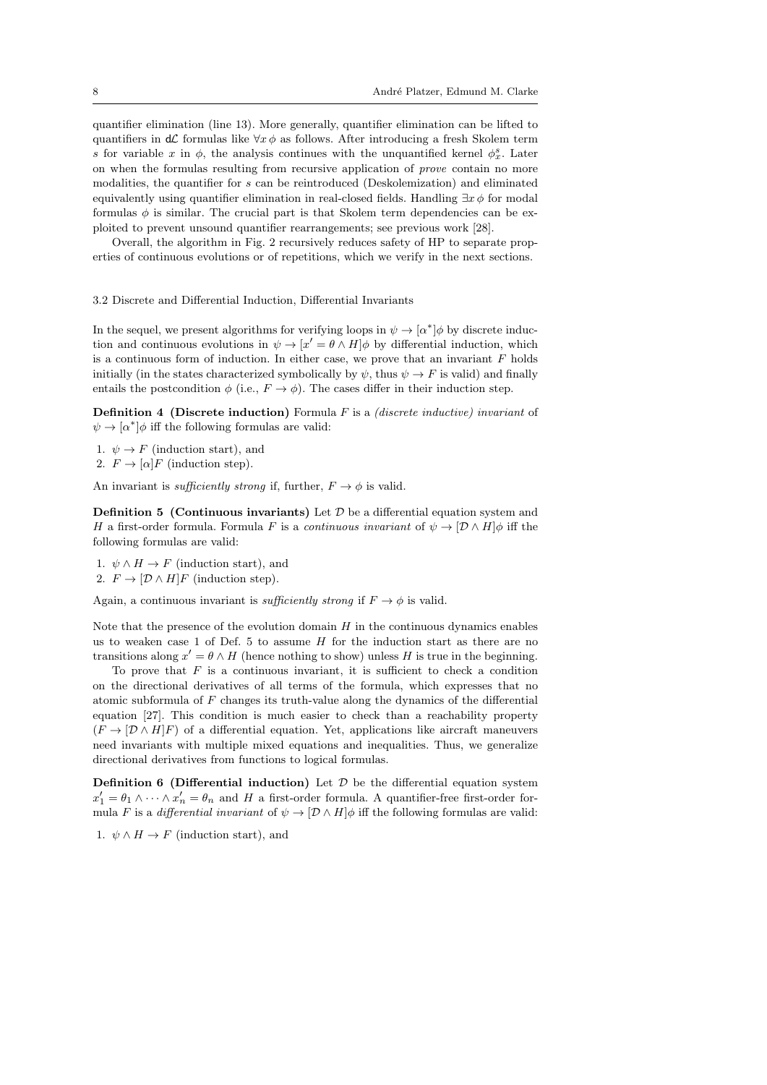quantifier elimination (line 13). More generally, quantifier elimination can be lifted to quantifiers in  $d\mathcal{L}$  formulas like  $\forall x \phi$  as follows. After introducing a fresh Skolem term s for variable x in  $\phi$ , the analysis continues with the unquantified kernel  $\phi_x^s$ . Later on when the formulas resulting from recursive application of prove contain no more modalities, the quantifier for s can be reintroduced (Deskolemization) and eliminated equivalently using quantifier elimination in real-closed fields. Handling  $\exists x \phi$  for modal formulas  $\phi$  is similar. The crucial part is that Skolem term dependencies can be exploited to prevent unsound quantifier rearrangements; see previous work [28].

Overall, the algorithm in Fig. 2 recursively reduces safety of HP to separate properties of continuous evolutions or of repetitions, which we verify in the next sections.

3.2 Discrete and Differential Induction, Differential Invariants

In the sequel, we present algorithms for verifying loops in  $\psi \to [\alpha^*]\phi$  by discrete induction and continuous evolutions in  $\psi \to [x' = \theta \wedge H] \phi$  by differential induction, which is a continuous form of induction. In either case, we prove that an invariant  $F$  holds initially (in the states characterized symbolically by  $\psi$ , thus  $\psi \to F$  is valid) and finally entails the postcondition  $\phi$  (i.e.,  $F \to \phi$ ). The cases differ in their induction step.

**Definition 4** (Discrete induction) Formula  $F$  is a *(discrete inductive) invariant* of  $\psi \rightarrow [\alpha^*] \phi$  iff the following formulas are valid:

1.  $\psi \rightarrow F$  (induction start), and

2.  $F \to [\alpha]F$  (induction step).

An invariant is *sufficiently strong* if, further,  $F \to \phi$  is valid.

**Definition 5** (Continuous invariants) Let  $\mathcal{D}$  be a differential equation system and H a first-order formula. Formula F is a continuous invariant of  $\psi \to [D \wedge H] \phi$  iff the following formulas are valid:

- 1.  $\psi \wedge H \to F$  (induction start), and
- 2.  $F \to [\mathcal{D} \wedge H]F$  (induction step).

Again, a continuous invariant is *sufficiently strong* if  $F \to \phi$  is valid.

Note that the presence of the evolution domain  $H$  in the continuous dynamics enables us to weaken case 1 of Def. 5 to assume  $H$  for the induction start as there are no transitions along  $x' = \theta \wedge H$  (hence nothing to show) unless H is true in the beginning.

To prove that  $F$  is a continuous invariant, it is sufficient to check a condition on the directional derivatives of all terms of the formula, which expresses that no atomic subformula of F changes its truth-value along the dynamics of the differential equation [27]. This condition is much easier to check than a reachability property  $(F \to [D \wedge H]F)$  of a differential equation. Yet, applications like aircraft maneuvers need invariants with multiple mixed equations and inequalities. Thus, we generalize directional derivatives from functions to logical formulas.

**Definition 6 (Differential induction)** Let  $\mathcal{D}$  be the differential equation system  $x'_1 = \theta_1 \wedge \cdots \wedge x'_n = \theta_n$  and H a first-order formula. A quantifier-free first-order formula F is a differential invariant of  $\psi \to [\mathcal{D} \wedge H] \phi$  iff the following formulas are valid:

1.  $\psi \wedge H \to F$  (induction start), and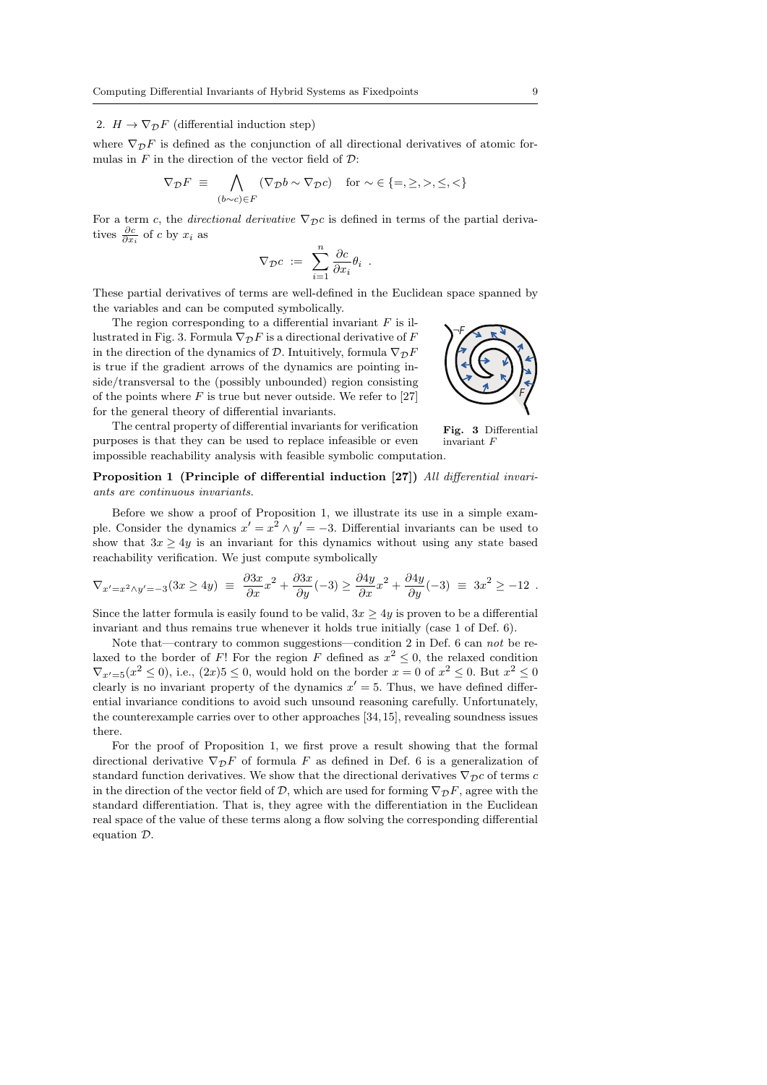# 2.  $H \to \nabla_{\mathcal{D}} F$  (differential induction step)

where  $\nabla_{\mathcal{D}} F$  is defined as the conjunction of all directional derivatives of atomic formulas in  $F$  in the direction of the vector field of  $D$ :

$$
\nabla_{\mathcal{D}} F \equiv \bigwedge_{(b \sim c) \in F} (\nabla_{\mathcal{D}} b \sim \nabla_{\mathcal{D}} c) \quad \text{for } \sim \in \{ =, \ge, >, \le, < \}
$$

For a term c, the *directional derivative*  $\nabla_{\mathcal{D}} c$  is defined in terms of the partial derivatives  $\frac{\partial c}{\partial x_i}$  of c by  $x_i$  as

$$
\nabla_{\mathcal{D}}c = \sum_{i=1}^{n} \frac{\partial c}{\partial x_i} \theta_i.
$$

These partial derivatives of terms are well-defined in the Euclidean space spanned by the variables and can be computed symbolically.

The region corresponding to a differential invariant  $F$  is illustrated in Fig. 3. Formula  $\nabla_{\mathcal{D}} F$  is a directional derivative of F in the direction of the dynamics of  $\mathcal D$ . Intuitively, formula  $\nabla_{\mathcal D}F$ is true if the gradient arrows of the dynamics are pointing inside/transversal to the (possibly unbounded) region consisting of the points where  $F$  is true but never outside. We refer to [27] for the general theory of differential invariants.

The central property of differential invariants for verification purposes is that they can be used to replace infeasible or even impossible reachability analysis with feasible symbolic computation.



Fig. 3 Differential invariant F

Proposition 1 (Principle of differential induction [27]) All differential invariants are continuous invariants.

Before we show a proof of Proposition 1, we illustrate its use in a simple example. Consider the dynamics  $x' = x^2 \wedge y' = -3$ . Differential invariants can be used to show that  $3x \geq 4y$  is an invariant for this dynamics without using any state based reachability verification. We just compute symbolically

$$
\nabla_{x'=x^2 \wedge y'= -3}(3x \ge 4y) \equiv \frac{\partial 3x}{\partial x}x^2 + \frac{\partial 3x}{\partial y}(-3) \ge \frac{\partial 4y}{\partial x}x^2 + \frac{\partial 4y}{\partial y}(-3) \equiv 3x^2 \ge -12.
$$

Since the latter formula is easily found to be valid,  $3x \ge 4y$  is proven to be a differential invariant and thus remains true whenever it holds true initially (case 1 of Def. 6).

Note that—contrary to common suggestions—condition 2 in Def. 6 can not be relaxed to the border of F! For the region F defined as  $x^2 \leq 0$ , the relaxed condition  $\nabla_{x'=5}(x^2 \leq 0)$ , i.e.,  $(2x)5 \leq 0$ , would hold on the border  $x=0$  of  $x^2 \leq 0$ . But  $x^2 \leq 0$ clearly is no invariant property of the dynamics  $x' = 5$ . Thus, we have defined differential invariance conditions to avoid such unsound reasoning carefully. Unfortunately, the counterexample carries over to other approaches [34, 15], revealing soundness issues there.

For the proof of Proposition 1, we first prove a result showing that the formal directional derivative  $\nabla_{\mathcal{D}} F$  of formula F as defined in Def. 6 is a generalization of standard function derivatives. We show that the directional derivatives  $\nabla_{\mathcal{D}} c$  of terms c in the direction of the vector field of  $\mathcal{D}$ , which are used for forming  $\nabla_{\mathcal{D}}F$ , agree with the standard differentiation. That is, they agree with the differentiation in the Euclidean real space of the value of these terms along a flow solving the corresponding differential equation D.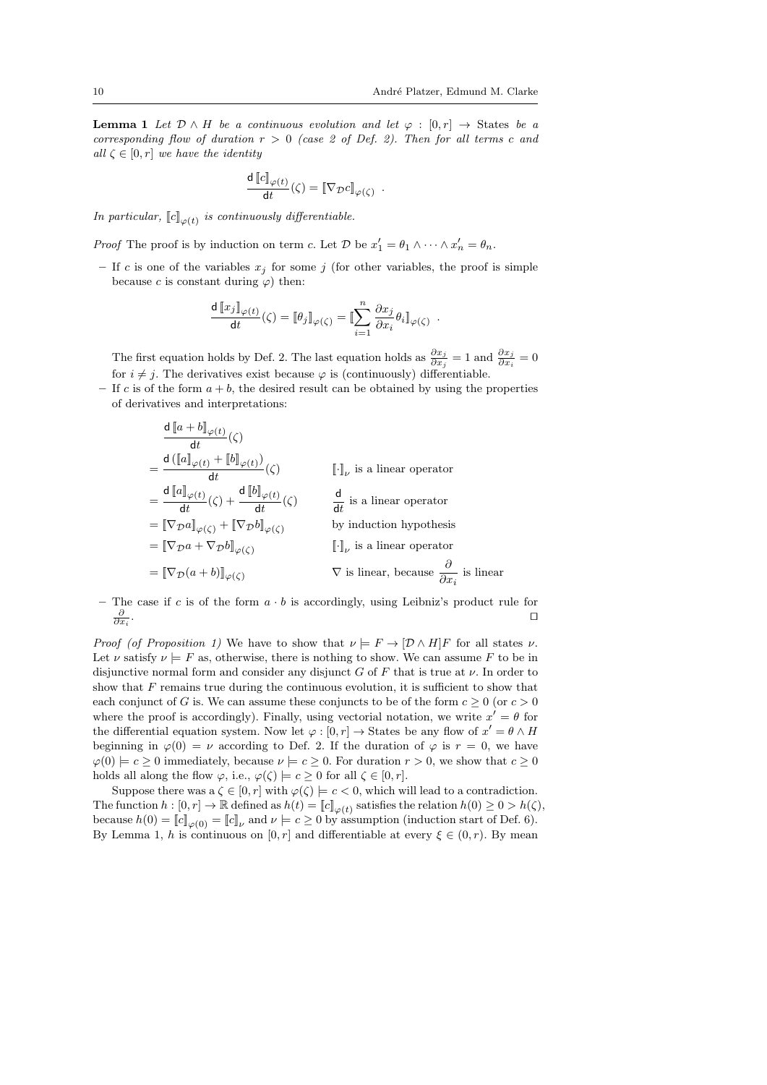**Lemma 1** Let  $\mathcal{D} \wedge H$  be a continuous evolution and let  $\varphi : [0, r] \rightarrow$  States be a corresponding flow of duration  $r > 0$  (case 2 of Def. 2). Then for all terms c and all  $\zeta \in [0, r]$  we have the identity

$$
\frac{\mathrm{d} \left[ c \right]_{\varphi(t)}}{\mathrm{d} t}(\zeta) = \left[ \nabla_{\mathcal{D}} c \right]_{\varphi(\zeta)} .
$$

In particular,  $\llbracket c \rrbracket_{\varphi(t)}$  is continuously differentiable.

*Proof* The proof is by induction on term c. Let  $\mathcal{D}$  be  $x'_1 = \theta_1 \wedge \cdots \wedge x'_n = \theta_n$ .

– If c is one of the variables  $x_j$  for some j (for other variables, the proof is simple because c is constant during  $\varphi$ ) then:

$$
\frac{\mathrm{d} \left[\!\!\left[ x_j \right]\!\!\right]_{\varphi(t)}}{\mathrm{d} t}(\zeta) = \left[\!\!\left[ \theta_j \right]\!\!\right]_{\varphi(\zeta)} = \big[\!\!\left[ \sum_{i=1}^n \frac{\partial x_j}{\partial x_i} \theta_i \right]\!\!\right]_{\varphi(\zeta)}\ .
$$

The first equation holds by Def. 2. The last equation holds as  $\frac{\partial x_j}{\partial x_j} = 1$  and  $\frac{\partial x_j}{\partial x_i} = 0$ for  $i \neq j$ . The derivatives exist because  $\varphi$  is (continuously) differentiable.

– If c is of the form  $a + b$ , the desired result can be obtained by using the properties of derivatives and interpretations:

$$
\frac{d [a + b]_{\varphi(t)}}{dt}(\zeta)
$$
\n
$$
= \frac{d ([a]_{\varphi(t)} + [b]_{\varphi(t)})}{dt}(\zeta)
$$
\n
$$
= \frac{d [a]_{\varphi(t)}}{dt}(\zeta) + \frac{d [b]_{\varphi(t)}}{dt}(\zeta)
$$
\n
$$
= [\nabla_{D} a]_{\varphi(\zeta)} + [\nabla_{D} b]_{\varphi(\zeta)}
$$
\n
$$
= [\nabla_{D} a + \nabla_{D} b]_{\varphi(\zeta)}
$$
\n
$$
= [\nabla_{D} a + \nabla_{D} b]_{\varphi(\zeta)}
$$
\n
$$
= [\nabla_{D} a + \nabla_{D} b]_{\varphi(\zeta)}
$$
\n
$$
= [\nabla_{D} a + \nabla_{D} b]_{\varphi(\zeta)}
$$
\n
$$
= [\nabla_{D} a + \nabla_{D} b]_{\varphi(\zeta)}
$$
\n
$$
= [\nabla_{D} a + \nabla_{D} b]_{\varphi(\zeta)}
$$
\n
$$
= [\nabla_{D} a + \nabla_{D} b]_{\varphi(\zeta)}
$$
\n
$$
= \nabla_{D} a + \nabla_{D} b]_{\varphi(\zeta)}
$$
\n
$$
= \nabla_{D} a + \nabla_{D} b
$$
\n
$$
= \nabla_{D} a + \nabla_{D} b
$$
\n
$$
= \nabla_{D} a + \nabla_{D} b
$$
\n
$$
= \nabla_{D} a + \nabla_{D} b
$$
\n
$$
= \nabla_{D} a + \nabla_{D} b
$$
\n
$$
= \nabla_{D} a + \nabla_{D} b
$$
\n
$$
= \nabla_{D} a + \nabla_{D} b
$$
\n
$$
= \nabla_{D} a + \nabla_{D} b
$$
\n
$$
= \nabla_{D} a + \nabla_{D} b
$$
\n
$$
= \nabla_{D} a + \nabla_{D} b
$$
\n
$$
= \nabla_{D} a + \nabla_{D} b
$$
\n $$ 

– The case if c is of the form  $a \cdot b$  is accordingly, using Leibniz's product rule for  $\frac{\partial}{\partial x_i}$ . The contract of the contract of the contract of the contract  $\Box$ 

*Proof (of Proposition 1)* We have to show that  $\nu \models F \rightarrow [\mathcal{D} \land H]F$  for all states  $\nu$ . Let  $\nu$  satisfy  $\nu \models F$  as, otherwise, there is nothing to show. We can assume F to be in disjunctive normal form and consider any disjunct G of F that is true at  $\nu$ . In order to show that  $F$  remains true during the continuous evolution, it is sufficient to show that each conjunct of G is. We can assume these conjuncts to be of the form  $c > 0$  (or  $c > 0$ ) where the proof is accordingly). Finally, using vectorial notation, we write  $x' = \theta$  for the differential equation system. Now let  $\varphi : [0, r] \to$  States be any flow of  $x' = \theta \wedge H$ beginning in  $\varphi(0) = \nu$  according to Def. 2. If the duration of  $\varphi$  is  $r = 0$ , we have  $\varphi(0) \models c \geq 0$  immediately, because  $\nu \models c \geq 0$ . For duration  $r > 0$ , we show that  $c \geq 0$ holds all along the flow  $\varphi$ , i.e.,  $\varphi(\zeta) \models c \geq 0$  for all  $\zeta \in [0, r]$ .

Suppose there was a  $\zeta \in [0, r]$  with  $\varphi(\zeta) \models c < 0$ , which will lead to a contradiction. The function  $h: [0, r] \to \mathbb{R}$  defined as  $h(t) = [c]_{\varphi(t)}$  satisfies the relation  $h(0) \geq 0 > h(\zeta)$ , because  $h(0) = \llbracket c \rrbracket_{\varphi(0)} = \llbracket c \rrbracket_{\nu}$  and  $\nu \models c \geq 0$  by assumption (induction start of Def. 6). By Lemma 1, h is continuous on  $[0, r]$  and differentiable at every  $\xi \in (0, r)$ . By mean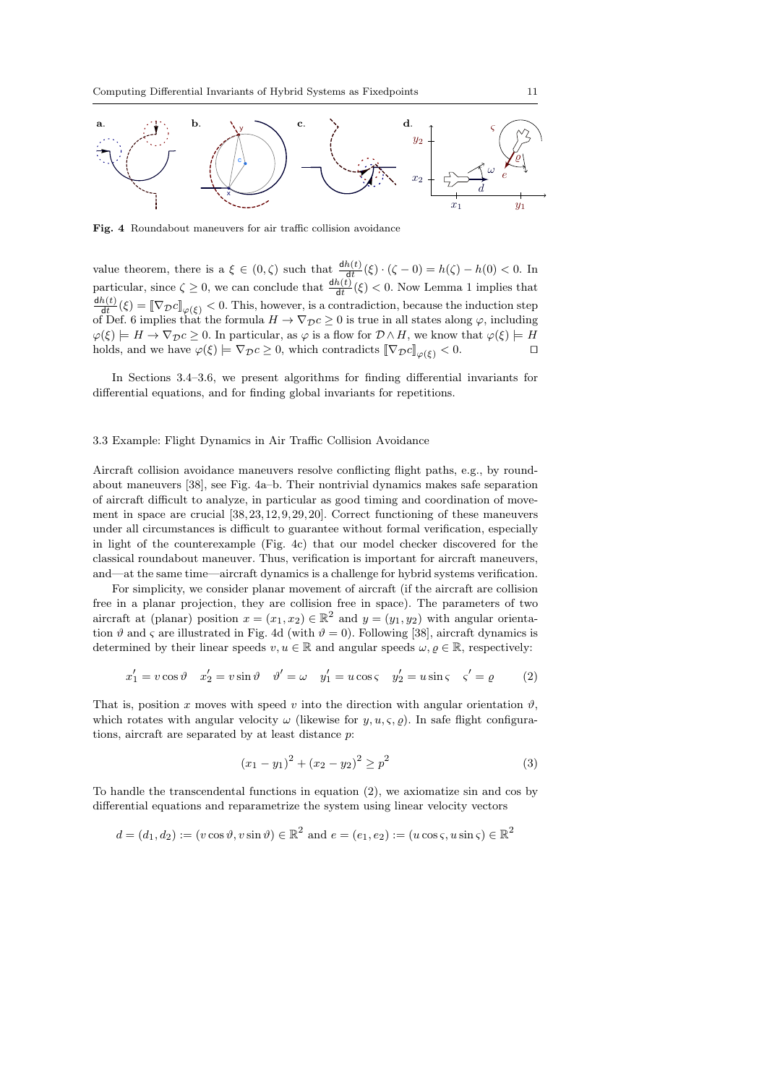

Fig. 4 Roundabout maneuvers for air traffic collision avoidance

value theorem, there is a  $\xi \in (0,\zeta)$  such that  $\frac{dh(t)}{dt}(\xi) \cdot (\zeta - 0) = h(\zeta) - h(0) < 0$ . In particular, since  $\zeta \geq 0$ , we can conclude that  $\frac{dh(t)}{dt}(\xi) < 0$ . Now Lemma 1 implies that  $\frac{dh(t)}{dt}(\xi) = \llbracket \nabla_{\mathcal{D}}c \rrbracket_{\varphi(\xi)} < 0.$  This, however, is a contradiction, because the induction step of Def. 6 implies that the formula  $H \to \nabla_{\mathcal{D}} c \geq 0$  is true in all states along  $\varphi$ , including  $\varphi(\xi) \models H \to \nabla_{\mathcal{D}} c \geq 0$ . In particular, as  $\varphi$  is a flow for  $\mathcal{D} \wedge H$ , we know that  $\varphi(\xi) \models H$ holds, and we have  $\varphi(\xi) \models \nabla_{\mathcal{D}} c \geq 0$ , which contradicts  $[\nabla_{\mathcal{D}} c]_{\varphi(\xi)} < 0$ .

In Sections 3.4–3.6, we present algorithms for finding differential invariants for differential equations, and for finding global invariants for repetitions.

## 3.3 Example: Flight Dynamics in Air Traffic Collision Avoidance

Aircraft collision avoidance maneuvers resolve conflicting flight paths, e.g., by roundabout maneuvers [38], see Fig. 4a–b. Their nontrivial dynamics makes safe separation of aircraft difficult to analyze, in particular as good timing and coordination of movement in space are crucial [38, 23, 12, 9,29, 20]. Correct functioning of these maneuvers under all circumstances is difficult to guarantee without formal verification, especially in light of the counterexample (Fig. 4c) that our model checker discovered for the classical roundabout maneuver. Thus, verification is important for aircraft maneuvers, and—at the same time—aircraft dynamics is a challenge for hybrid systems verification.

For simplicity, we consider planar movement of aircraft (if the aircraft are collision free in a planar projection, they are collision free in space). The parameters of two aircraft at (planar) position  $x = (x_1, x_2) \in \mathbb{R}^2$  and  $y = (y_1, y_2)$  with angular orientation  $\vartheta$  and  $\varsigma$  are illustrated in Fig. 4d (with  $\vartheta = 0$ ). Following [38], aircraft dynamics is determined by their linear speeds  $v, u \in \mathbb{R}$  and angular speeds  $\omega, \rho \in \mathbb{R}$ , respectively:

$$
x'_1 = v \cos \vartheta \quad x'_2 = v \sin \vartheta \quad \vartheta' = \omega \quad y'_1 = u \cos \varsigma \quad y'_2 = u \sin \varsigma \quad \varsigma' = \varrho \tag{2}
$$

That is, position x moves with speed v into the direction with angular orientation  $\vartheta$ , which rotates with angular velocity  $\omega$  (likewise for  $y, u, \varsigma, \varrho$ ). In safe flight configurations, aircraft are separated by at least distance  $p$ :

$$
(x_1 - y_1)^2 + (x_2 - y_2)^2 \ge p^2 \tag{3}
$$

To handle the transcendental functions in equation (2), we axiomatize sin and cos by differential equations and reparametrize the system using linear velocity vectors

$$
d = (d_1, d_2) := (v \cos \vartheta, v \sin \vartheta) \in \mathbb{R}^2
$$
 and  $e = (e_1, e_2) := (u \cos \varsigma, u \sin \varsigma) \in \mathbb{R}^2$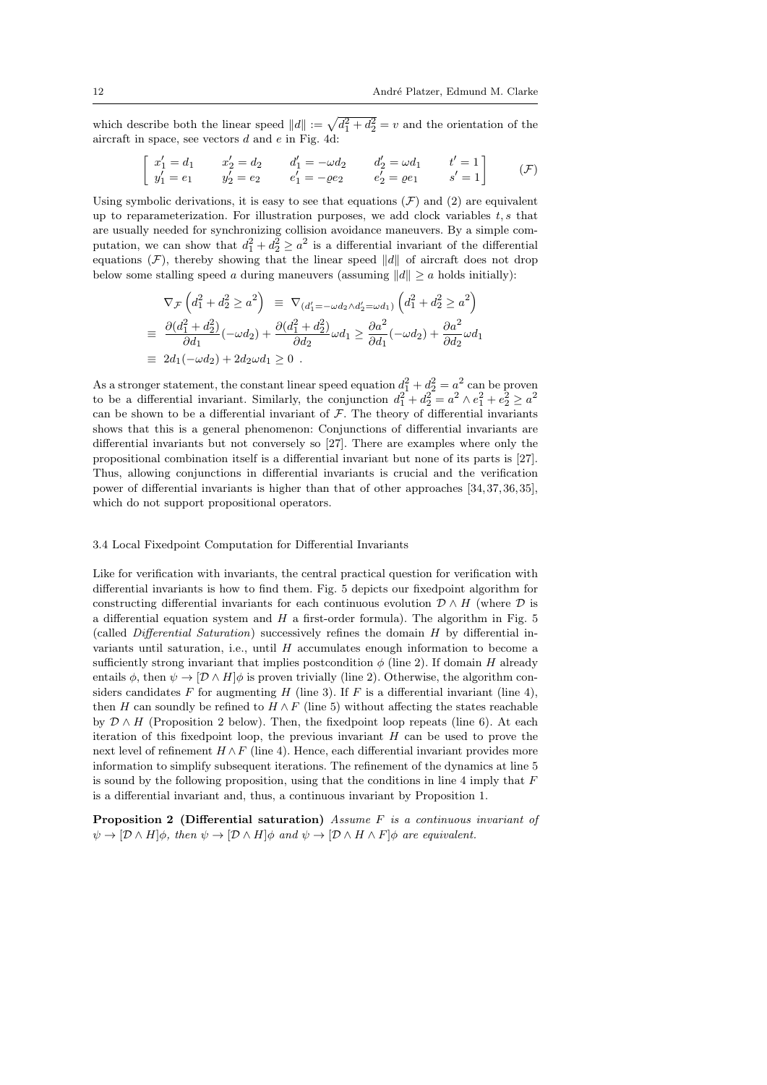which describe both the linear speed  $||d|| := \sqrt{d_1^2 + d_2^2} = v$  and the orientation of the aircraft in space, see vectors  $d$  and  $e$  in Fig. 4d:

$$
\begin{bmatrix} x_1' = d_1 & x_2' = d_2 & d_1' = -\omega d_2 & d_2' = \omega d_1 & t' = 1\\ y_1' = e_1 & y_2' = e_2 & e_1' = -\varrho e_2 & e_2' = \varrho e_1 & s' = 1 \end{bmatrix}
$$
 (F)

Using symbolic derivations, it is easy to see that equations  $(F)$  and  $(2)$  are equivalent up to reparameterization. For illustration purposes, we add clock variables  $t, s$  that are usually needed for synchronizing collision avoidance maneuvers. By a simple computation, we can show that  $d_1^2 + d_2^2 \geq a^2$  is a differential invariant of the differential equations  $(F)$ , thereby showing that the linear speed  $||d||$  of aircraft does not drop below some stalling speed a during maneuvers (assuming  $||d|| \ge a$  holds initially):

$$
\nabla_{\mathcal{F}} \left( d_1^2 + d_2^2 \ge a^2 \right) \equiv \nabla_{(d_1' = -\omega d_2 \wedge d_2' = \omega d_1)} \left( d_1^2 + d_2^2 \ge a^2 \right)
$$
\n
$$
\equiv \frac{\partial (d_1^2 + d_2^2)}{\partial d_1} (-\omega d_2) + \frac{\partial (d_1^2 + d_2^2)}{\partial d_2} \omega d_1 \ge \frac{\partial a^2}{\partial d_1} (-\omega d_2) + \frac{\partial a^2}{\partial d_2} \omega d_1
$$
\n
$$
\equiv 2d_1(-\omega d_2) + 2d_2 \omega d_1 \ge 0.
$$

As a stronger statement, the constant linear speed equation  $d_1^2 + d_2^2 = a^2$  can be proven to be a differential invariant. Similarly, the conjunction  $d_1^2 + d_2^2 = a^2 \wedge e_1^2 + e_2^2 \ge a^2$ can be shown to be a differential invariant of  $F$ . The theory of differential invariants shows that this is a general phenomenon: Conjunctions of differential invariants are differential invariants but not conversely so [27]. There are examples where only the propositional combination itself is a differential invariant but none of its parts is [27]. Thus, allowing conjunctions in differential invariants is crucial and the verification power of differential invariants is higher than that of other approaches [34, 37, 36, 35], which do not support propositional operators.

## 3.4 Local Fixedpoint Computation for Differential Invariants

Like for verification with invariants, the central practical question for verification with differential invariants is how to find them. Fig. 5 depicts our fixedpoint algorithm for constructing differential invariants for each continuous evolution  $\mathcal{D} \wedge H$  (where  $\mathcal D$  is a differential equation system and  $H$  a first-order formula). The algorithm in Fig. 5 (called Differential Saturation) successively refines the domain H by differential invariants until saturation, i.e., until  $H$  accumulates enough information to become a sufficiently strong invariant that implies postcondition  $\phi$  (line 2). If domain H already entails  $\phi$ , then  $\psi \to [D \wedge H] \phi$  is proven trivially (line 2). Otherwise, the algorithm considers candidates  $F$  for augmenting  $H$  (line 3). If  $F$  is a differential invariant (line 4), then H can soundly be refined to  $H \wedge F$  (line 5) without affecting the states reachable by  $\mathcal{D} \wedge H$  (Proposition 2 below). Then, the fixed point loop repeats (line 6). At each iteration of this fixed point loop, the previous invariant  $H$  can be used to prove the next level of refinement  $H \wedge F$  (line 4). Hence, each differential invariant provides more information to simplify subsequent iterations. The refinement of the dynamics at line 5 is sound by the following proposition, using that the conditions in line  $4$  imply that  $F$ is a differential invariant and, thus, a continuous invariant by Proposition 1.

**Proposition 2** (Differential saturation) Assume  $F$  is a continuous invariant of  $\psi \to [D \wedge H] \phi$ , then  $\psi \to [D \wedge H] \phi$  and  $\psi \to [D \wedge H \wedge F] \phi$  are equivalent.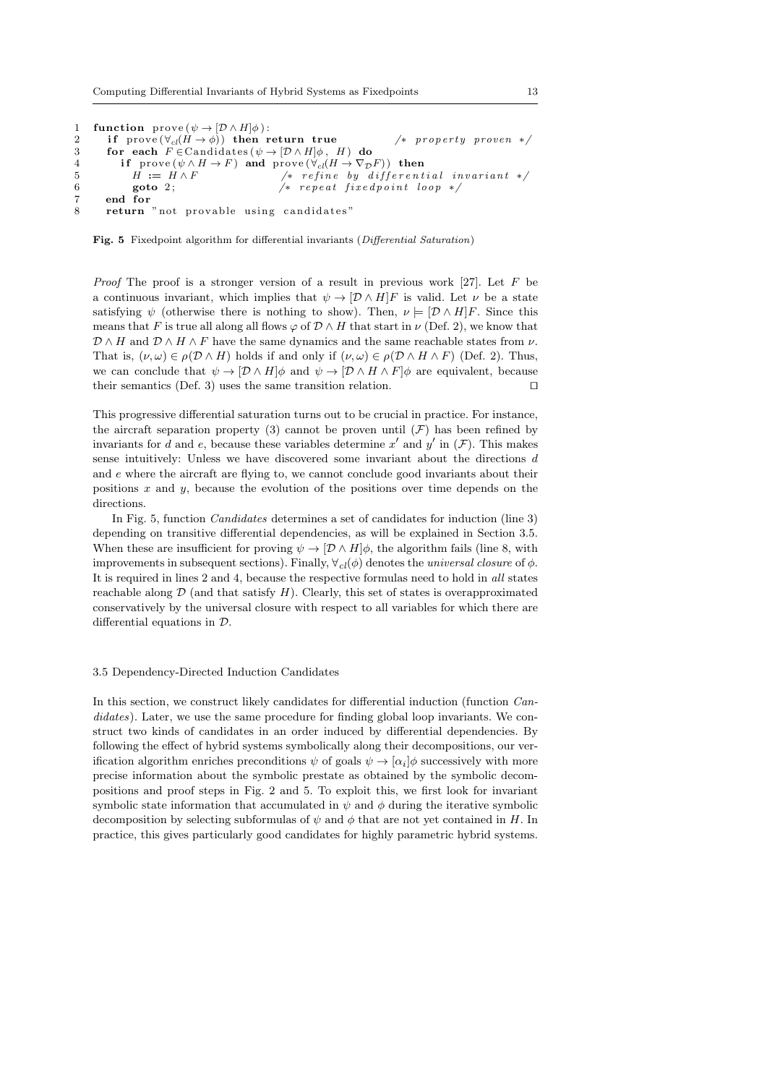```
1 function \text{prove}(\psi \to [\mathcal{D} \wedge H] \phi):
2 if prove (\forall_{cl}(H \to \phi)) then return true /* property proven */<br>3 for each F \in Candidates (\psi \to [D \land H]\phi. H) do
       for each F \inCandidates (\psi \rightarrow [\mathcal{D} \wedge H] \phi, H) do
4 if prove (\psi \wedge H \to F) and prove (\forall_{cl}(H \to \nabla_{\mathcal{D}} F)) then<br>5 H := H \wedge F /* refine by different
                                                  /* refine by differential invariant */6 goto 2; /* repeat fixed point loop */7 end for
8 return " not provable using candidates"
```
Fig. 5 Fixedpoint algorithm for differential invariants (Differential Saturation)

*Proof* The proof is a stronger version of a result in previous work [27]. Let F be a continuous invariant, which implies that  $\psi \to [\mathcal{D} \wedge H]F$  is valid. Let  $\nu$  be a state satisfying  $\psi$  (otherwise there is nothing to show). Then,  $\nu \models [\mathcal{D} \land H]F$ . Since this means that F is true all along all flows  $\varphi$  of  $\mathcal{D} \wedge H$  that start in  $\nu$  (Def. 2), we know that  $\mathcal{D} \wedge H$  and  $\mathcal{D} \wedge H \wedge F$  have the same dynamics and the same reachable states from  $\nu$ . That is,  $(\nu, \omega) \in \rho(\mathcal{D} \wedge H)$  holds if and only if  $(\nu, \omega) \in \rho(\mathcal{D} \wedge H \wedge F)$  (Def. 2). Thus, we can conclude that  $\psi \to [\mathcal{D} \wedge H] \phi$  and  $\psi \to [\mathcal{D} \wedge H \wedge F] \phi$  are equivalent, because their semantics (Def. 3) uses the same transition relation.  $\square$ 

This progressive differential saturation turns out to be crucial in practice. For instance, the aircraft separation property (3) cannot be proven until  $(F)$  has been refined by invariants for d and e, because these variables determine  $x'$  and  $y'$  in  $(\mathcal{F})$ . This makes sense intuitively: Unless we have discovered some invariant about the directions d and e where the aircraft are flying to, we cannot conclude good invariants about their positions  $x$  and  $y$ , because the evolution of the positions over time depends on the directions.

In Fig. 5, function Candidates determines a set of candidates for induction (line 3) depending on transitive differential dependencies, as will be explained in Section 3.5. When these are insufficient for proving  $\psi \to [D \wedge H] \phi$ , the algorithm fails (line 8, with improvements in subsequent sections). Finally,  $\forall_{c}(\phi)$  denotes the *universal closure* of  $\phi$ . It is required in lines 2 and 4, because the respective formulas need to hold in all states reachable along  $D$  (and that satisfy  $H$ ). Clearly, this set of states is overapproximated conservatively by the universal closure with respect to all variables for which there are differential equations in D.

#### 3.5 Dependency-Directed Induction Candidates

In this section, we construct likely candidates for differential induction (function Candidates). Later, we use the same procedure for finding global loop invariants. We construct two kinds of candidates in an order induced by differential dependencies. By following the effect of hybrid systems symbolically along their decompositions, our verification algorithm enriches preconditions  $\psi$  of goals  $\psi \to [\alpha_i] \phi$  successively with more precise information about the symbolic prestate as obtained by the symbolic decompositions and proof steps in Fig. 2 and 5. To exploit this, we first look for invariant symbolic state information that accumulated in  $\psi$  and  $\phi$  during the iterative symbolic decomposition by selecting subformulas of  $\psi$  and  $\phi$  that are not yet contained in H. In practice, this gives particularly good candidates for highly parametric hybrid systems.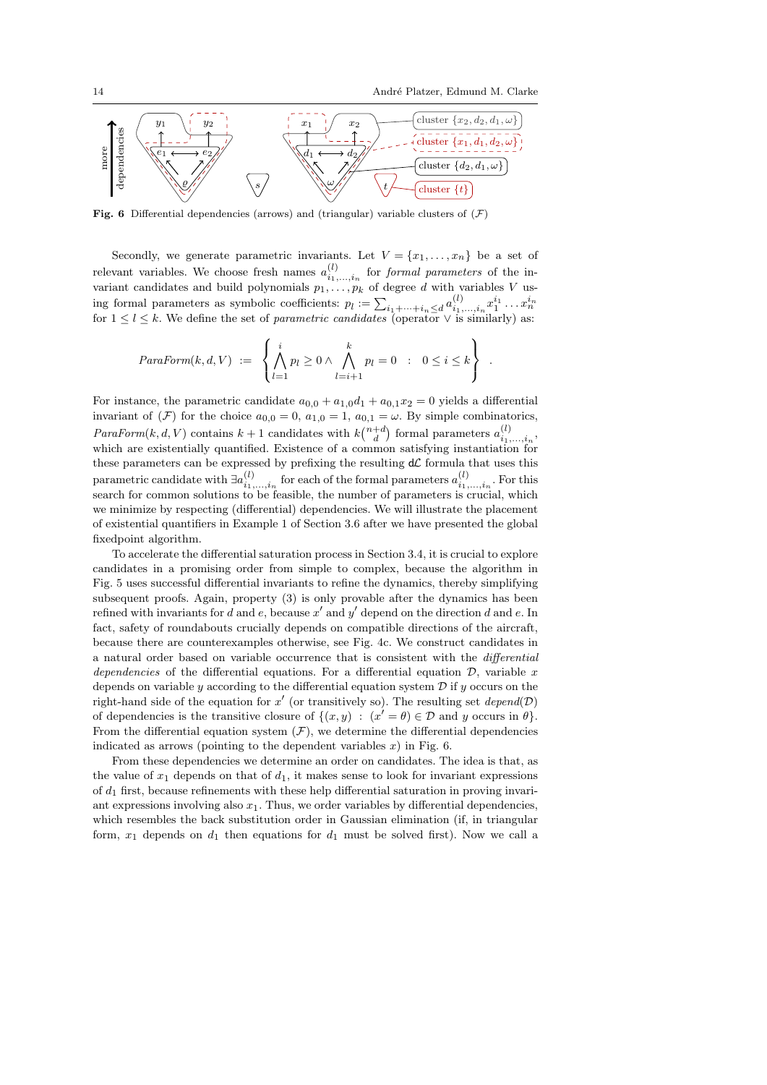

Fig. 6 Differential dependencies (arrows) and (triangular) variable clusters of  $(F)$ 

Secondly, we generate parametric invariants. Let  $V = \{x_1, \ldots, x_n\}$  be a set of relevant variables. We choose fresh names  $a_{i_1,...,i_n}^{(l)}$  for *formal parameters* of the invariant candidates and build polynomials  $p_1, \ldots, p_k$  of degree d with variables V using formal parameters as symbolic coefficients:  $p_l := \sum_{i_1+\cdots+i_n \le d} a^{(l)}_{i_1,\ldots,i_n} x_1^{i_1} \ldots x_n^{i_n}$ for  $1 \leq l \leq k$ . We define the set of *parametric candidates* (operator  $\vee$  is similarly) as:

$$
ParaForm(k, d, V) := \left\{ \bigwedge_{l=1}^{i} p_l \geq 0 \wedge \bigwedge_{l=i+1}^{k} p_l = 0 : 0 \leq i \leq k \right\} .
$$

For instance, the parametric candidate  $a_{0,0} + a_{1,0}d_1 + a_{0,1}x_2 = 0$  yields a differential invariant of  $(\mathcal{F})$  for the choice  $a_{0,0} = 0$ ,  $a_{1,0} = 1$ ,  $a_{0,1} = \omega$ . By simple combinatorics, ParaForm(k, d, V) contains  $k+1$  candidates with  $k\binom{n+d}{d}$  formal parameters  $a_{i_1,...,i_n}^{(l)}$ , which are existentially quantified. Existence of a common satisfying instantiation for these parameters can be expressed by prefixing the resulting  $d\mathcal{L}$  formula that uses this parametric candidate with  $\exists a_{i_1,\ldots,i_n}^{(l)}$  for each of the formal parameters  $a_{i_1,\ldots,i_n}^{(l)}$ . For this search for common solutions to be feasible, the number of parameters is crucial, which we minimize by respecting (differential) dependencies. We will illustrate the placement of existential quantifiers in Example 1 of Section 3.6 after we have presented the global fixedpoint algorithm.

To accelerate the differential saturation process in Section 3.4, it is crucial to explore candidates in a promising order from simple to complex, because the algorithm in Fig. 5 uses successful differential invariants to refine the dynamics, thereby simplifying subsequent proofs. Again, property (3) is only provable after the dynamics has been refined with invariants for d and e, because  $x'$  and  $y'$  depend on the direction d and e. In fact, safety of roundabouts crucially depends on compatible directions of the aircraft, because there are counterexamples otherwise, see Fig. 4c. We construct candidates in a natural order based on variable occurrence that is consistent with the differential dependencies of the differential equations. For a differential equation  $\mathcal{D}$ , variable x depends on variable y according to the differential equation system  $\mathcal D$  if y occurs on the right-hand side of the equation for  $x'$  (or transitively so). The resulting set  $\text{depend}(\mathcal{D})$ of dependencies is the transitive closure of  $\{(x, y) : (x' = \theta) \in \mathcal{D} \text{ and } y \text{ occurs in } \theta\}.$ From the differential equation system  $(F)$ , we determine the differential dependencies indicated as arrows (pointing to the dependent variables  $x$ ) in Fig. 6.

From these dependencies we determine an order on candidates. The idea is that, as the value of  $x_1$  depends on that of  $d_1$ , it makes sense to look for invariant expressions of  $d_1$  first, because refinements with these help differential saturation in proving invariant expressions involving also  $x_1$ . Thus, we order variables by differential dependencies, which resembles the back substitution order in Gaussian elimination (if, in triangular form,  $x_1$  depends on  $d_1$  then equations for  $d_1$  must be solved first). Now we call a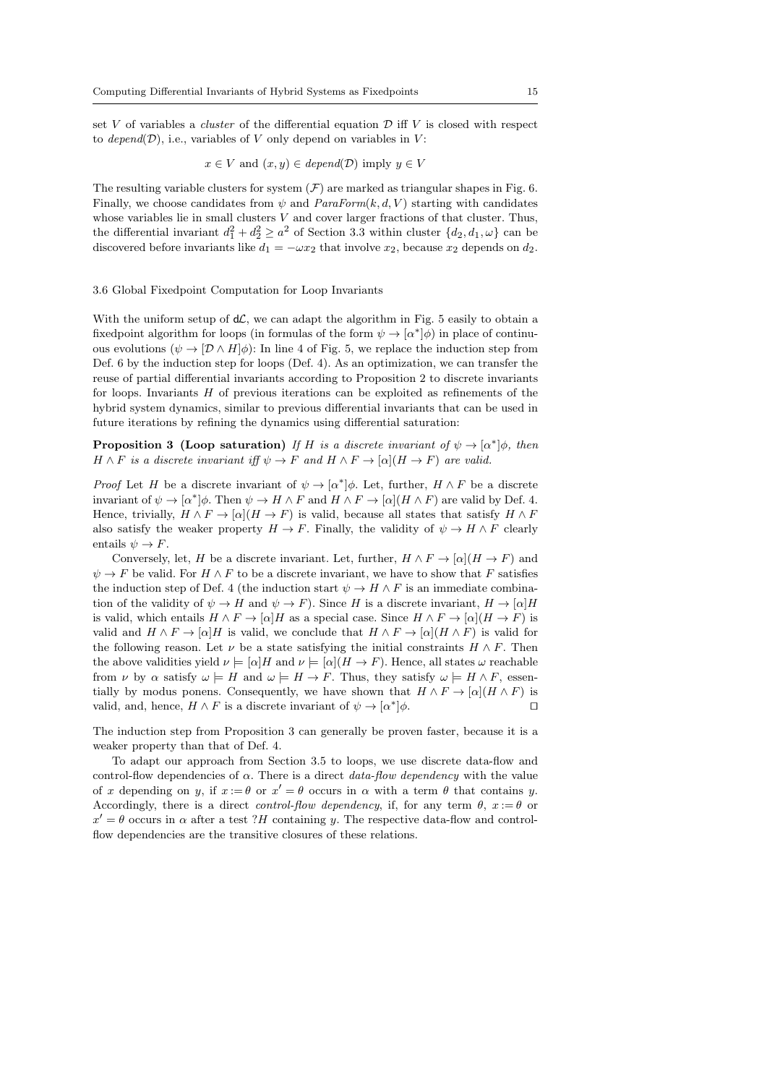set V of variables a *cluster* of the differential equation  $\mathcal D$  iff V is closed with respect to *depend* $(D)$ , i.e., variables of V only depend on variables in V:

$$
x \in V
$$
 and  $(x, y) \in depend(D)$  imply  $y \in V$ 

The resulting variable clusters for system  $(F)$  are marked as triangular shapes in Fig. 6. Finally, we choose candidates from  $\psi$  and  $ParaForm(k, d, V)$  starting with candidates whose variables lie in small clusters  $V$  and cover larger fractions of that cluster. Thus, the differential invariant  $d_1^2 + d_2^2 \geq a^2$  of Section 3.3 within cluster  $\{d_2, d_1, \omega\}$  can be discovered before invariants like  $d_1 = -\omega x_2$  that involve  $x_2$ , because  $x_2$  depends on  $d_2$ .

## 3.6 Global Fixedpoint Computation for Loop Invariants

With the uniform setup of  $d\mathcal{L}$ , we can adapt the algorithm in Fig. 5 easily to obtain a fixed point algorithm for loops (in formulas of the form  $\psi \to [\alpha^*]\phi$ ) in place of continuous evolutions ( $\psi \to [D \wedge H] \phi$ ): In line 4 of Fig. 5, we replace the induction step from Def. 6 by the induction step for loops (Def. 4). As an optimization, we can transfer the reuse of partial differential invariants according to Proposition 2 to discrete invariants for loops. Invariants  $H$  of previous iterations can be exploited as refinements of the hybrid system dynamics, similar to previous differential invariants that can be used in future iterations by refining the dynamics using differential saturation:

**Proposition 3 (Loop saturation)** If H is a discrete invariant of  $\psi \rightarrow [\alpha^*]\phi$ , then  $H \wedge F$  is a discrete invariant iff  $\psi \to F$  and  $H \wedge F \to [\alpha](H \to F)$  are valid.

*Proof* Let H be a discrete invariant of  $\psi \to [\alpha^*] \phi$ . Let, further,  $H \wedge F$  be a discrete invariant of  $\psi \to [\alpha^*] \phi$ . Then  $\psi \to H \wedge F$  and  $H \wedge F \to [\alpha](H \wedge F)$  are valid by Def. 4. Hence, trivially,  $H \wedge F \to [\alpha](H \to F)$  is valid, because all states that satisfy  $H \wedge F$ also satisfy the weaker property  $H \to F$ . Finally, the validity of  $\psi \to H \wedge F$  clearly entails  $\psi \to F$ .

Conversely, let, H be a discrete invariant. Let, further,  $H \wedge F \to [\alpha](H \to F)$  and  $\psi \to F$  be valid. For  $H \wedge F$  to be a discrete invariant, we have to show that F satisfies the induction step of Def. 4 (the induction start  $\psi \to H \wedge F$  is an immediate combination of the validity of  $\psi \to H$  and  $\psi \to F$ ). Since H is a discrete invariant,  $H \to [\alpha]H$ is valid, which entails  $H \wedge F \to [\alpha]H$  as a special case. Since  $H \wedge F \to [\alpha](H \to F)$  is valid and  $H \wedge F \to [\alpha]H$  is valid, we conclude that  $H \wedge F \to [\alpha](H \wedge F)$  is valid for the following reason. Let  $\nu$  be a state satisfying the initial constraints  $H \wedge F$ . Then the above validities yield  $\nu \models [\alpha]H$  and  $\nu \models [\alpha](H \rightarrow F)$ . Hence, all states  $\omega$  reachable from  $\nu$  by  $\alpha$  satisfy  $\omega \models H$  and  $\omega \models H \rightarrow F$ . Thus, they satisfy  $\omega \models H \wedge F$ , essentially by modus ponens. Consequently, we have shown that  $H \wedge F \to [\alpha](H \wedge F)$  is valid, and, hence,  $H \wedge F$  is a discrete invariant of  $\psi \to [\alpha^*]$  $]\phi$ .

The induction step from Proposition 3 can generally be proven faster, because it is a weaker property than that of Def. 4.

To adapt our approach from Section 3.5 to loops, we use discrete data-flow and control-flow dependencies of  $\alpha$ . There is a direct *data-flow dependency* with the value of x depending on y, if  $x := \theta$  or  $x' = \theta$  occurs in  $\alpha$  with a term  $\theta$  that contains y. Accordingly, there is a direct *control-flow dependency*, if, for any term  $\theta$ ,  $x := \theta$  or  $x' = \theta$  occurs in  $\alpha$  after a test ?*H* containing *y*. The respective data-flow and controlflow dependencies are the transitive closures of these relations.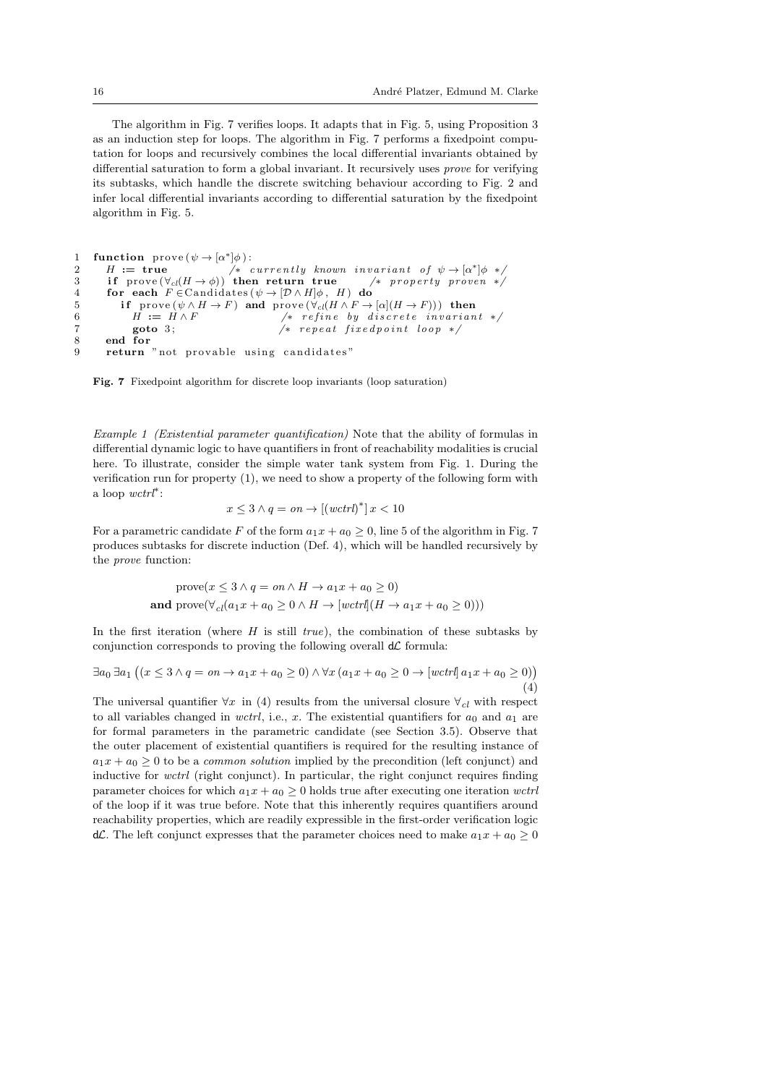The algorithm in Fig. 7 verifies loops. It adapts that in Fig. 5, using Proposition 3 as an induction step for loops. The algorithm in Fig. 7 performs a fixedpoint computation for loops and recursively combines the local differential invariants obtained by differential saturation to form a global invariant. It recursively uses prove for verifying its subtasks, which handle the discrete switching behaviour according to Fig. 2 and infer local differential invariants according to differential saturation by the fixedpoint algorithm in Fig. 5.

```
1 function \text{prove}(\psi \to [\alpha^*]\phi):
2  H := true /* currently known invariant of \psi \rightarrow [\alpha^*]\phi */
3 if prove (\forall_{cl}(H \to \phi)) then return true \qquad /* property proven */
4 for each F \inCandidates (\psi \rightarrow [\mathcal{D} \wedge H] \phi, H) do
5 if prove (\psi \wedge H \to F) and prove (\forall_{cl}(H \wedge F \to [\alpha](H \to F))) then<br>6 H := H \wedge F \qquad \qquad \star refine by discrete invarian
                                             /* refine by discrete invariant */7 goto 3; \frac{1}{2} /* repeat fixed point loop */
8 end for
9 return " not provable using candidates"
```
Fig. 7 Fixedpoint algorithm for discrete loop invariants (loop saturation)

Example 1 (Existential parameter quantification) Note that the ability of formulas in differential dynamic logic to have quantifiers in front of reachability modalities is crucial here. To illustrate, consider the simple water tank system from Fig. 1. During the verification run for property (1), we need to show a property of the following form with a loop  $\textit{wctrl}^*$ :

$$
x \le 3 \land q = on \rightarrow [(wctrl)^*] x < 10
$$

For a parametric candidate F of the form  $a_1x + a_0 \ge 0$ , line 5 of the algorithm in Fig. 7 produces subtasks for discrete induction (Def. 4), which will be handled recursively by the prove function:

prove
$$
(x \le 3 \land q = on \land H \rightarrow a_1 x + a_0 \ge 0)
$$
  
and prove $(\forall_{cl}(a_1 x + a_0 \ge 0 \land H \rightarrow [wctr1](H \rightarrow a_1 x + a_0 \ge 0)))$ 

In the first iteration (where  $H$  is still  $true$ ), the combination of these subtasks by conjunction corresponds to proving the following overall  $d\mathcal{L}$  formula:

$$
\exists a_0 \,\exists a_1 \left( (x \leq 3 \land q = on \to a_1 x + a_0 \geq 0) \land \forall x \left( a_1 x + a_0 \geq 0 \to [w \text{ctrl}]\, a_1 x + a_0 \geq 0 \right) \right) \tag{4}
$$

The universal quantifier  $\forall x$  in (4) results from the universal closure  $\forall c \in \mathbb{R}$  with respect to all variables changed in wctrl, i.e., x. The existential quantifiers for  $a_0$  and  $a_1$  are for formal parameters in the parametric candidate (see Section 3.5). Observe that the outer placement of existential quantifiers is required for the resulting instance of  $a_1x + a_0 \geq 0$  to be a *common solution* implied by the precondition (left conjunct) and inductive for *wctrl* (right conjunct). In particular, the right conjunct requires finding parameter choices for which  $a_1x + a_0 \geq 0$  holds true after executing one iteration wctrl of the loop if it was true before. Note that this inherently requires quantifiers around reachability properties, which are readily expressible in the first-order verification logic dC. The left conjunct expresses that the parameter choices need to make  $a_1x + a_0 \ge 0$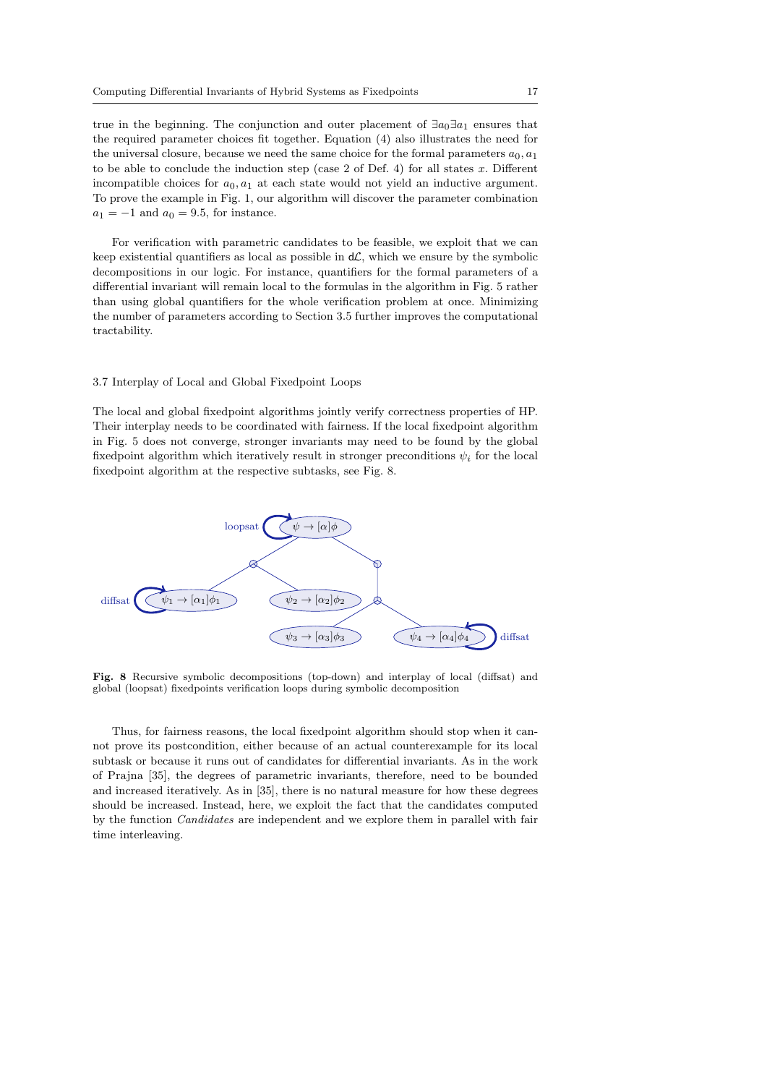true in the beginning. The conjunction and outer placement of  $\exists a_0 \exists a_1$  ensures that the required parameter choices fit together. Equation (4) also illustrates the need for the universal closure, because we need the same choice for the formal parameters  $a_0, a_1$ to be able to conclude the induction step (case 2 of Def. 4) for all states  $x$ . Different incompatible choices for  $a_0, a_1$  at each state would not yield an inductive argument. To prove the example in Fig. 1, our algorithm will discover the parameter combination  $a_1 = -1$  and  $a_0 = 9.5$ , for instance.

For verification with parametric candidates to be feasible, we exploit that we can keep existential quantifiers as local as possible in  $d\mathcal{L}$ , which we ensure by the symbolic decompositions in our logic. For instance, quantifiers for the formal parameters of a differential invariant will remain local to the formulas in the algorithm in Fig. 5 rather than using global quantifiers for the whole verification problem at once. Minimizing the number of parameters according to Section 3.5 further improves the computational tractability.

## 3.7 Interplay of Local and Global Fixedpoint Loops

The local and global fixedpoint algorithms jointly verify correctness properties of HP. Their interplay needs to be coordinated with fairness. If the local fixedpoint algorithm in Fig. 5 does not converge, stronger invariants may need to be found by the global fixed point algorithm which iteratively result in stronger preconditions  $\psi_i$  for the local fixedpoint algorithm at the respective subtasks, see Fig. 8.



Fig. 8 Recursive symbolic decompositions (top-down) and interplay of local (diffsat) and global (loopsat) fixedpoints verification loops during symbolic decomposition

Thus, for fairness reasons, the local fixedpoint algorithm should stop when it cannot prove its postcondition, either because of an actual counterexample for its local subtask or because it runs out of candidates for differential invariants. As in the work of Prajna [35], the degrees of parametric invariants, therefore, need to be bounded and increased iteratively. As in [35], there is no natural measure for how these degrees should be increased. Instead, here, we exploit the fact that the candidates computed by the function Candidates are independent and we explore them in parallel with fair time interleaving.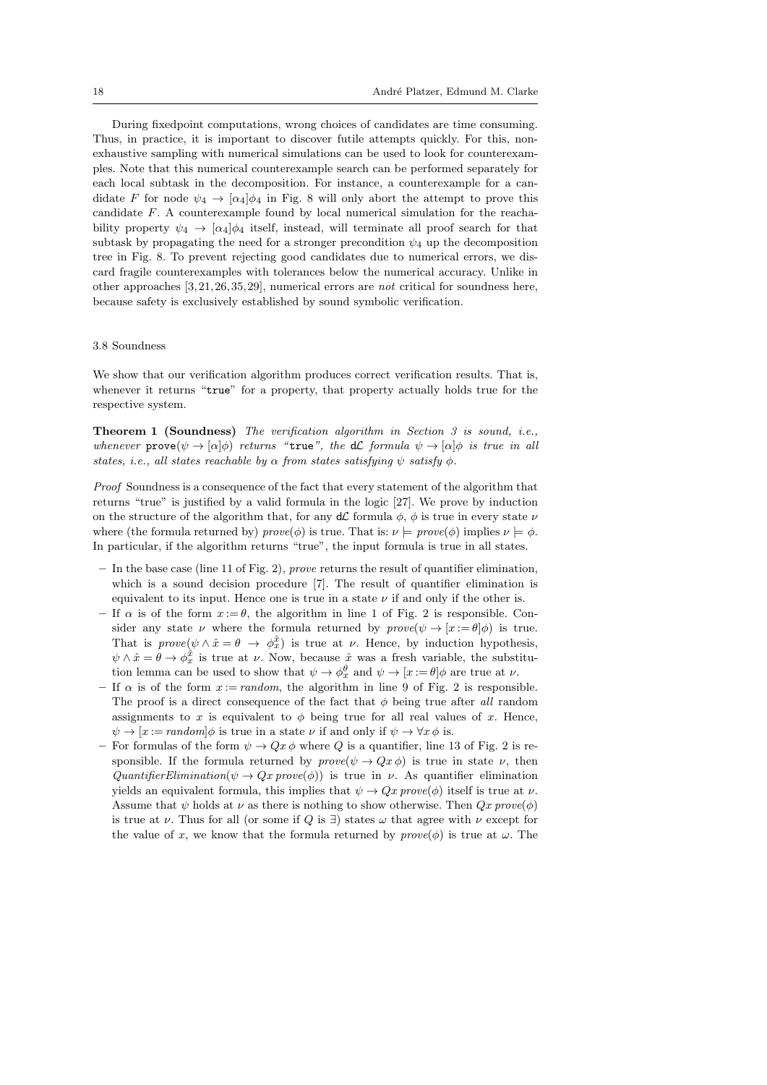During fixedpoint computations, wrong choices of candidates are time consuming. Thus, in practice, it is important to discover futile attempts quickly. For this, nonexhaustive sampling with numerical simulations can be used to look for counterexamples. Note that this numerical counterexample search can be performed separately for each local subtask in the decomposition. For instance, a counterexample for a candidate F for node  $\psi_4 \to [\alpha_4] \phi_4$  in Fig. 8 will only abort the attempt to prove this candidate F. A counterexample found by local numerical simulation for the reachability property  $\psi_4 \to [\alpha_4] \phi_4$  itself, instead, will terminate all proof search for that subtask by propagating the need for a stronger precondition  $\psi_4$  up the decomposition tree in Fig. 8. To prevent rejecting good candidates due to numerical errors, we discard fragile counterexamples with tolerances below the numerical accuracy. Unlike in other approaches [3,21, 26, 35, 29], numerical errors are not critical for soundness here, because safety is exclusively established by sound symbolic verification.

#### 3.8 Soundness

We show that our verification algorithm produces correct verification results. That is, whenever it returns "true" for a property, that property actually holds true for the respective system.

Theorem 1 (Soundness) The verification algorithm in Section 3 is sound, i.e., whenever  $\text{prove}(\psi \to [\alpha]\phi)$  returns "true", the dC formula  $\psi \to [\alpha]\phi$  is true in all states, i.e., all states reachable by  $\alpha$  from states satisfying  $\psi$  satisfy  $\phi$ .

Proof Soundness is a consequence of the fact that every statement of the algorithm that returns "true" is justified by a valid formula in the logic [27]. We prove by induction on the structure of the algorithm that, for any  $d\mathcal{L}$  formula  $\phi$ ,  $\phi$  is true in every state  $\nu$ where (the formula returned by)  $\text{prove}(\phi)$  is true. That is:  $\nu \models \text{prove}(\phi)$  implies  $\nu \models \phi$ . In particular, if the algorithm returns "true", the input formula is true in all states.

- In the base case (line 11 of Fig. 2), prove returns the result of quantifier elimination, which is a sound decision procedure [7]. The result of quantifier elimination is equivalent to its input. Hence one is true in a state  $\nu$  if and only if the other is.
- If  $\alpha$  is of the form  $x := \theta$ , the algorithm in line 1 of Fig. 2 is responsible. Consider any state  $\nu$  where the formula returned by  $\text{prove}(\psi \to [x := \theta]\phi)$  is true. That is  $prove(\psi \wedge \hat{x} = \theta \rightarrow \phi_x^{\hat{x}})$  is true at  $\nu$ . Hence, by induction hypothesis,  $\psi \wedge \hat{x} = \theta \rightarrow \phi_x^{\hat{x}}$  is true at  $\nu$ . Now, because  $\hat{x}$  was a fresh variable, the substitution lemma can be used to show that  $\psi \to \phi_x^{\theta}$  and  $\psi \to [x := \theta]\phi$  are true at  $\nu$ .
- If  $\alpha$  is of the form  $x := \text{random}$ , the algorithm in line 9 of Fig. 2 is responsible. The proof is a direct consequence of the fact that  $\phi$  being true after all random assignments to x is equivalent to  $\phi$  being true for all real values of x. Hence,  $\psi \to [x := \text{random}]\phi$  is true in a state  $\nu$  if and only if  $\psi \to \forall x \phi$  is.
- For formulas of the form  $\psi \to Qx\phi$  where Q is a quantifier, line 13 of Fig. 2 is responsible. If the formula returned by  $prove(\psi \rightarrow Qx \phi)$  is true in state  $\nu$ , then QuantifierElimination( $\psi \to Qx$  prove $(\phi)$ ) is true in  $\nu$ . As quantifier elimination yields an equivalent formula, this implies that  $\psi \to Qx$  prove $(\phi)$  itself is true at  $\nu$ . Assume that  $\psi$  holds at  $\nu$  as there is nothing to show otherwise. Then  $Qx$  prove( $\phi$ ) is true at  $\nu$ . Thus for all (or some if Q is  $\exists$ ) states  $\omega$  that agree with  $\nu$  except for the value of x, we know that the formula returned by  $prove(\phi)$  is true at  $\omega$ . The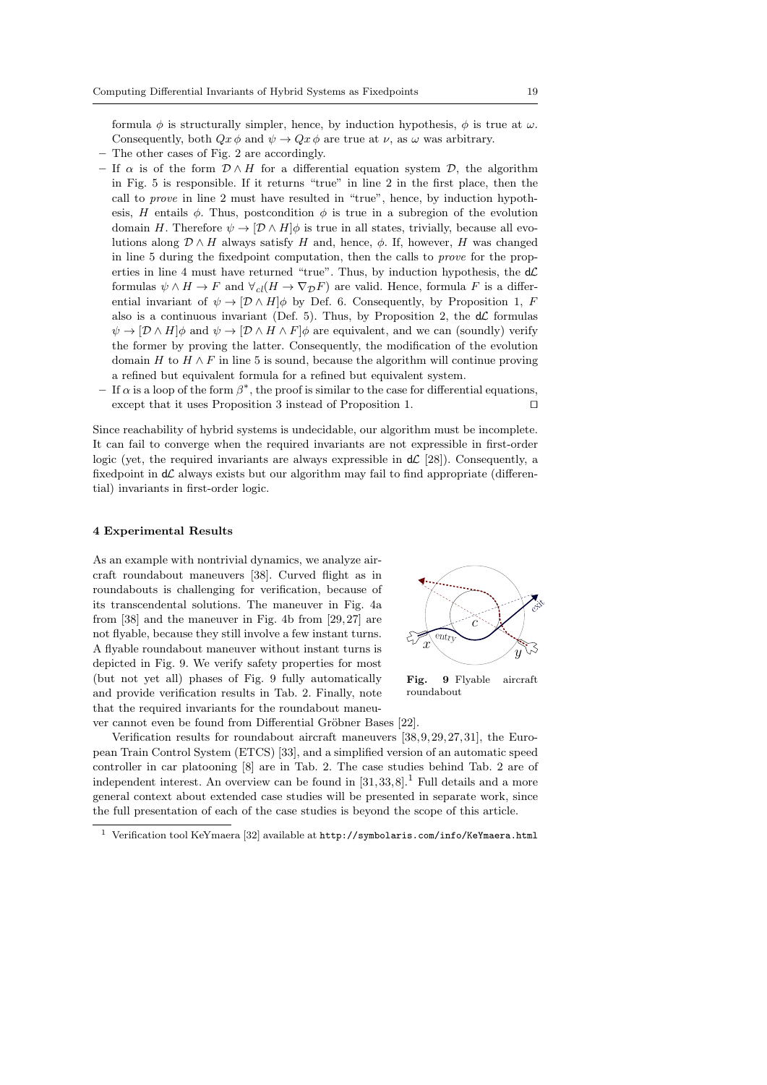formula  $\phi$  is structurally simpler, hence, by induction hypothesis,  $\phi$  is true at  $\omega$ . Consequently, both  $Qx \phi$  and  $\psi \to Qx \phi$  are true at  $\nu$ , as  $\omega$  was arbitrary.

– The other cases of Fig. 2 are accordingly.

- If  $\alpha$  is of the form  $\mathcal{D} \wedge H$  for a differential equation system  $\mathcal{D}$ , the algorithm in Fig. 5 is responsible. If it returns "true" in line 2 in the first place, then the call to prove in line 2 must have resulted in "true", hence, by induction hypothesis, H entails  $\phi$ . Thus, postcondition  $\phi$  is true in a subregion of the evolution domain H. Therefore  $\psi \to [\mathcal{D} \wedge H] \phi$  is true in all states, trivially, because all evolutions along  $\mathcal{D} \wedge H$  always satisfy H and, hence,  $\phi$ . If, however, H was changed in line 5 during the fixedpoint computation, then the calls to prove for the properties in line 4 must have returned "true". Thus, by induction hypothesis, the  $d\mathcal{L}$ formulas  $\psi \wedge H \to F$  and  $\forall_{cl}(H \to \nabla_{\mathcal{D}} F)$  are valid. Hence, formula F is a differential invariant of  $\psi \to [\mathcal{D} \wedge H] \phi$  by Def. 6. Consequently, by Proposition 1, F also is a continuous invariant (Def. 5). Thus, by Proposition 2, the  $d\mathcal{L}$  formulas  $\psi \to [\mathcal{D} \wedge H] \phi$  and  $\psi \to [\mathcal{D} \wedge H \wedge F] \phi$  are equivalent, and we can (soundly) verify the former by proving the latter. Consequently, the modification of the evolution domain H to  $H \wedge F$  in line 5 is sound, because the algorithm will continue proving a refined but equivalent formula for a refined but equivalent system.
- $-$  If  $\alpha$  is a loop of the form  $\beta^*$ , the proof is similar to the case for differential equations, except that it uses Proposition 3 instead of Proposition 1.  $\Box$

Since reachability of hybrid systems is undecidable, our algorithm must be incomplete. It can fail to converge when the required invariants are not expressible in first-order logic (yet, the required invariants are always expressible in  $d\mathcal{L}$  [28]). Consequently, a fixedpoint in  $d\mathcal{L}$  always exists but our algorithm may fail to find appropriate (differential) invariants in first-order logic.

#### 4 Experimental Results

As an example with nontrivial dynamics, we analyze aircraft roundabout maneuvers [38]. Curved flight as in roundabouts is challenging for verification, because of its transcendental solutions. The maneuver in Fig. 4a from [38] and the maneuver in Fig. 4b from [29,27] are not flyable, because they still involve a few instant turns. A flyable roundabout maneuver without instant turns is depicted in Fig. 9. We verify safety properties for most (but not yet all) phases of Fig. 9 fully automatically and provide verification results in Tab. 2. Finally, note that the required invariants for the roundabout maneu-



Fig. 9 Flyable aircraft roundabout

ver cannot even be found from Differential Gröbner Bases [22].

Verification results for roundabout aircraft maneuvers [38, 9, 29,27, 31], the European Train Control System (ETCS) [33], and a simplified version of an automatic speed controller in car platooning [8] are in Tab. 2. The case studies behind Tab. 2 are of independent interest. An overview can be found in  $[31, 33, 8]$ .<sup>1</sup> Full details and a more general context about extended case studies will be presented in separate work, since the full presentation of each of the case studies is beyond the scope of this article.

<sup>1</sup> Verification tool KeYmaera [32] available at http://symbolaris.com/info/KeYmaera.html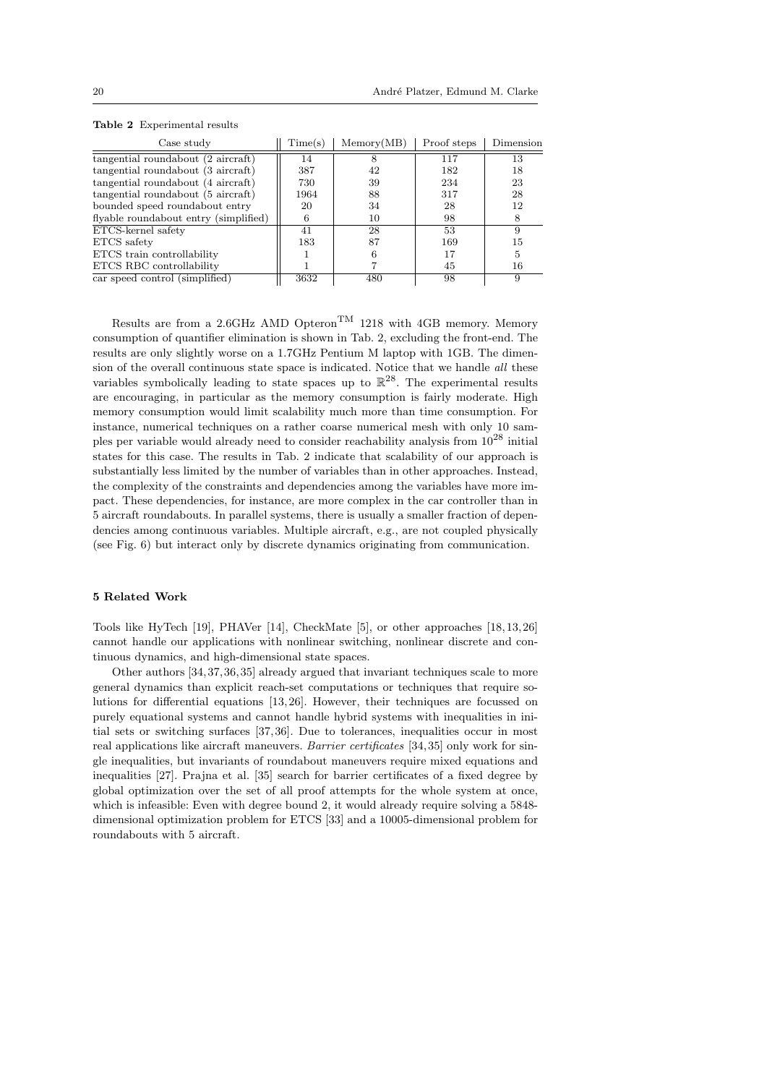| Case study                            | Time(s) | Memory(MB) | Proof steps | Dimension |
|---------------------------------------|---------|------------|-------------|-----------|
| tangential roundabout (2 aircraft)    | 14      |            | 117         | 13        |
| tangential roundabout (3 aircraft)    | 387     | 42         | 182         | 18        |
| tangential roundabout (4 aircraft)    | 730     | 39         | 234         | 23        |
| tangential roundabout (5 aircraft)    | 1964    | 88         | 317         | 28        |
| bounded speed roundabout entry        | 20      | 34         | 28          | 12        |
| flyable roundabout entry (simplified) |         | 10         | 98          |           |
| ETCS-kernel safety                    | 41      | 28         | 53          |           |
| ETCS safety                           | 183     | 87         | 169         | 15        |
| ETCS train controllability            |         |            | 17          | 5         |
| ETCS RBC controllability              |         |            | 45          | 16        |
| car speed control (simplified)        | 3632    | 480        | 98          |           |

#### Table 2 Experimental results

Results are from a 2.6GHz AMD Opteron<sup>TM</sup> 1218 with 4GB memory. Memory consumption of quantifier elimination is shown in Tab. 2, excluding the front-end. The results are only slightly worse on a 1.7GHz Pentium M laptop with 1GB. The dimension of the overall continuous state space is indicated. Notice that we handle all these variables symbolically leading to state spaces up to  $\mathbb{R}^{28}$ . The experimental results are encouraging, in particular as the memory consumption is fairly moderate. High memory consumption would limit scalability much more than time consumption. For instance, numerical techniques on a rather coarse numerical mesh with only 10 samples per variable would already need to consider reachability analysis from  $10^{28}$  initial states for this case. The results in Tab. 2 indicate that scalability of our approach is substantially less limited by the number of variables than in other approaches. Instead, the complexity of the constraints and dependencies among the variables have more impact. These dependencies, for instance, are more complex in the car controller than in 5 aircraft roundabouts. In parallel systems, there is usually a smaller fraction of dependencies among continuous variables. Multiple aircraft, e.g., are not coupled physically (see Fig. 6) but interact only by discrete dynamics originating from communication.

## 5 Related Work

Tools like HyTech [19], PHAVer [14], CheckMate [5], or other approaches [18,13, 26] cannot handle our applications with nonlinear switching, nonlinear discrete and continuous dynamics, and high-dimensional state spaces.

Other authors [34, 37,36, 35] already argued that invariant techniques scale to more general dynamics than explicit reach-set computations or techniques that require solutions for differential equations [13,26]. However, their techniques are focussed on purely equational systems and cannot handle hybrid systems with inequalities in initial sets or switching surfaces [37,36]. Due to tolerances, inequalities occur in most real applications like aircraft maneuvers. Barrier certificates [34, 35] only work for single inequalities, but invariants of roundabout maneuvers require mixed equations and inequalities [27]. Prajna et al. [35] search for barrier certificates of a fixed degree by global optimization over the set of all proof attempts for the whole system at once, which is infeasible: Even with degree bound 2, it would already require solving a 5848dimensional optimization problem for ETCS [33] and a 10005-dimensional problem for roundabouts with 5 aircraft.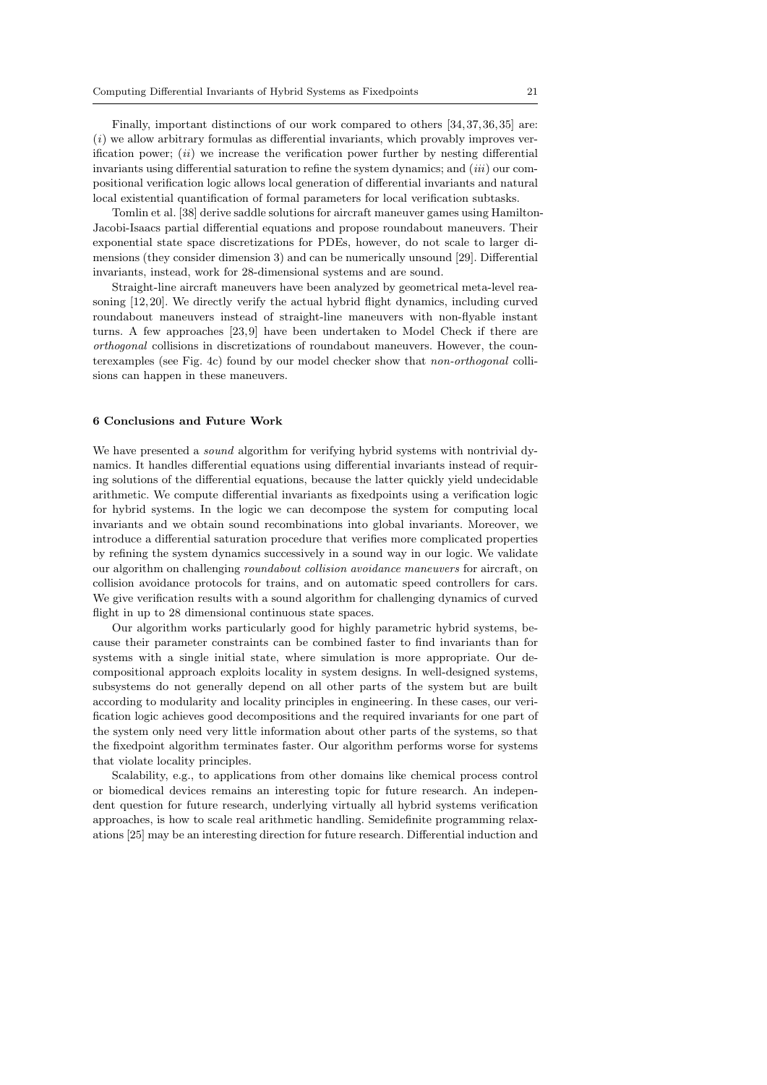Finally, important distinctions of our work compared to others [34, 37, 36, 35] are:  $(i)$  we allow arbitrary formulas as differential invariants, which provably improves verification power;  $(ii)$  we increase the verification power further by nesting differential invariants using differential saturation to refine the system dynamics; and *(iii)* our compositional verification logic allows local generation of differential invariants and natural local existential quantification of formal parameters for local verification subtasks.

Tomlin et al. [38] derive saddle solutions for aircraft maneuver games using Hamilton-Jacobi-Isaacs partial differential equations and propose roundabout maneuvers. Their exponential state space discretizations for PDEs, however, do not scale to larger dimensions (they consider dimension 3) and can be numerically unsound [29]. Differential invariants, instead, work for 28-dimensional systems and are sound.

Straight-line aircraft maneuvers have been analyzed by geometrical meta-level reasoning [12, 20]. We directly verify the actual hybrid flight dynamics, including curved roundabout maneuvers instead of straight-line maneuvers with non-flyable instant turns. A few approaches [23,9] have been undertaken to Model Check if there are orthogonal collisions in discretizations of roundabout maneuvers. However, the counterexamples (see Fig. 4c) found by our model checker show that non-orthogonal collisions can happen in these maneuvers.

## 6 Conclusions and Future Work

We have presented a *sound* algorithm for verifying hybrid systems with nontrivial dynamics. It handles differential equations using differential invariants instead of requiring solutions of the differential equations, because the latter quickly yield undecidable arithmetic. We compute differential invariants as fixedpoints using a verification logic for hybrid systems. In the logic we can decompose the system for computing local invariants and we obtain sound recombinations into global invariants. Moreover, we introduce a differential saturation procedure that verifies more complicated properties by refining the system dynamics successively in a sound way in our logic. We validate our algorithm on challenging roundabout collision avoidance maneuvers for aircraft, on collision avoidance protocols for trains, and on automatic speed controllers for cars. We give verification results with a sound algorithm for challenging dynamics of curved flight in up to 28 dimensional continuous state spaces.

Our algorithm works particularly good for highly parametric hybrid systems, because their parameter constraints can be combined faster to find invariants than for systems with a single initial state, where simulation is more appropriate. Our decompositional approach exploits locality in system designs. In well-designed systems, subsystems do not generally depend on all other parts of the system but are built according to modularity and locality principles in engineering. In these cases, our verification logic achieves good decompositions and the required invariants for one part of the system only need very little information about other parts of the systems, so that the fixedpoint algorithm terminates faster. Our algorithm performs worse for systems that violate locality principles.

Scalability, e.g., to applications from other domains like chemical process control or biomedical devices remains an interesting topic for future research. An independent question for future research, underlying virtually all hybrid systems verification approaches, is how to scale real arithmetic handling. Semidefinite programming relaxations [25] may be an interesting direction for future research. Differential induction and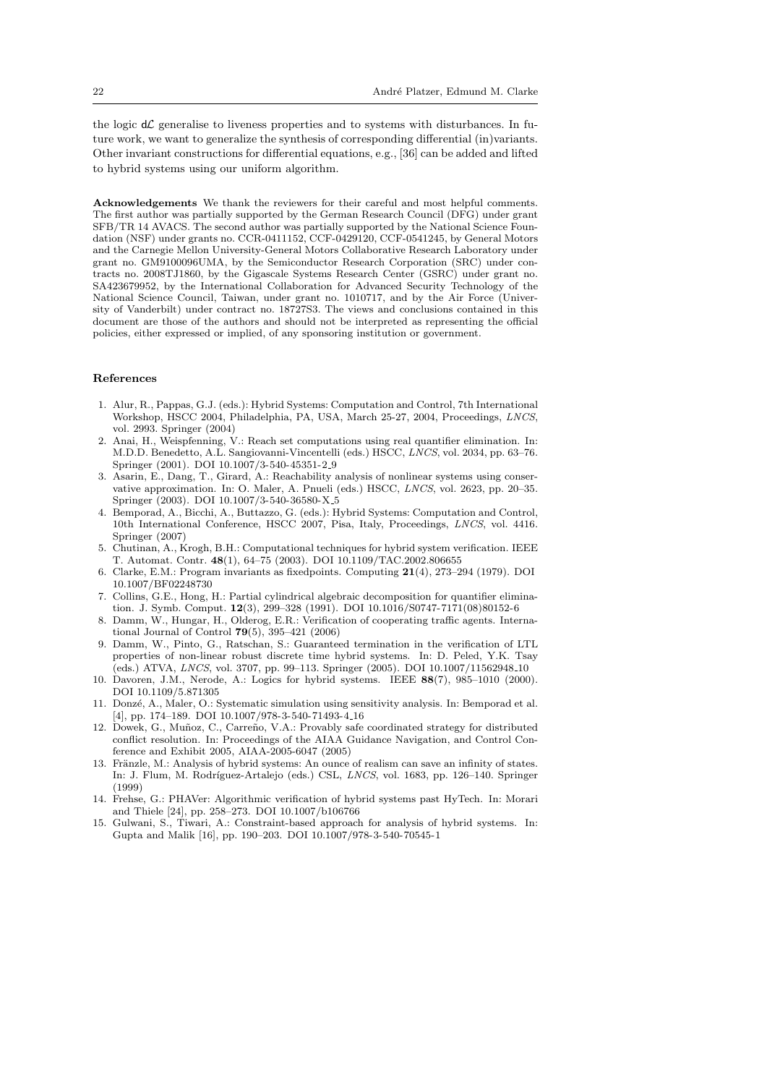the logic  $d\mathcal{L}$  generalise to liveness properties and to systems with disturbances. In future work, we want to generalize the synthesis of corresponding differential (in)variants. Other invariant constructions for differential equations, e.g., [36] can be added and lifted to hybrid systems using our uniform algorithm.

Acknowledgements We thank the reviewers for their careful and most helpful comments. The first author was partially supported by the German Research Council (DFG) under grant SFB/TR 14 AVACS. The second author was partially supported by the National Science Foundation (NSF) under grants no. CCR-0411152, CCF-0429120, CCF-0541245, by General Motors and the Carnegie Mellon University-General Motors Collaborative Research Laboratory under grant no. GM9100096UMA, by the Semiconductor Research Corporation (SRC) under contracts no. 2008TJ1860, by the Gigascale Systems Research Center (GSRC) under grant no. SA423679952, by the International Collaboration for Advanced Security Technology of the National Science Council, Taiwan, under grant no. 1010717, and by the Air Force (University of Vanderbilt) under contract no. 18727S3. The views and conclusions contained in this document are those of the authors and should not be interpreted as representing the official policies, either expressed or implied, of any sponsoring institution or government.

#### References

- 1. Alur, R., Pappas, G.J. (eds.): Hybrid Systems: Computation and Control, 7th International Workshop, HSCC 2004, Philadelphia, PA, USA, March 25-27, 2004, Proceedings, LNCS, vol. 2993. Springer (2004)
- 2. Anai, H., Weispfenning, V.: Reach set computations using real quantifier elimination. In: M.D.D. Benedetto, A.L. Sangiovanni-Vincentelli (eds.) HSCC, LNCS, vol. 2034, pp. 63–76. Springer (2001). DOI 10.1007/3-540-45351-2 9
- 3. Asarin, E., Dang, T., Girard, A.: Reachability analysis of nonlinear systems using conservative approximation. In: O. Maler, A. Pnueli (eds.) HSCC, LNCS, vol. 2623, pp. 20–35. Springer (2003). DOI 10.1007/3-540-36580-X 5
- 4. Bemporad, A., Bicchi, A., Buttazzo, G. (eds.): Hybrid Systems: Computation and Control, 10th International Conference, HSCC 2007, Pisa, Italy, Proceedings, LNCS, vol. 4416. Springer (2007)
- 5. Chutinan, A., Krogh, B.H.: Computational techniques for hybrid system verification. IEEE T. Automat. Contr. 48(1), 64–75 (2003). DOI 10.1109/TAC.2002.806655
- 6. Clarke, E.M.: Program invariants as fixedpoints. Computing 21(4), 273–294 (1979). DOI 10.1007/BF02248730
- 7. Collins, G.E., Hong, H.: Partial cylindrical algebraic decomposition for quantifier elimination. J. Symb. Comput. 12(3), 299–328 (1991). DOI 10.1016/S0747-7171(08)80152-6
- 8. Damm, W., Hungar, H., Olderog, E.R.: Verification of cooperating traffic agents. International Journal of Control 79(5), 395–421 (2006)
- 9. Damm, W., Pinto, G., Ratschan, S.: Guaranteed termination in the verification of LTL properties of non-linear robust discrete time hybrid systems. In: D. Peled, Y.K. Tsay (eds.) ATVA, LNCS, vol. 3707, pp. 99–113. Springer (2005). DOI 10.1007/11562948 10
- 10. Davoren, J.M., Nerode, A.: Logics for hybrid systems. IEEE 88(7), 985–1010 (2000). DOI 10.1109/5.871305
- 11. Donz´e, A., Maler, O.: Systematic simulation using sensitivity analysis. In: Bemporad et al. [4], pp. 174–189. DOI 10.1007/978-3-540-71493-4 16
- 12. Dowek, G., Muñoz, C., Carreño, V.A.: Provably safe coordinated strategy for distributed conflict resolution. In: Proceedings of the AIAA Guidance Navigation, and Control Conference and Exhibit 2005, AIAA-2005-6047 (2005)
- 13. Fränzle, M.: Analysis of hybrid systems: An ounce of realism can save an infinity of states. In: J. Flum, M. Rodríguez-Artalejo (eds.) CSL, LNCS, vol. 1683, pp. 126-140. Springer (1999)
- 14. Frehse, G.: PHAVer: Algorithmic verification of hybrid systems past HyTech. In: Morari and Thiele [24], pp. 258–273. DOI 10.1007/b106766
- 15. Gulwani, S., Tiwari, A.: Constraint-based approach for analysis of hybrid systems. In: Gupta and Malik [16], pp. 190–203. DOI 10.1007/978-3-540-70545-1